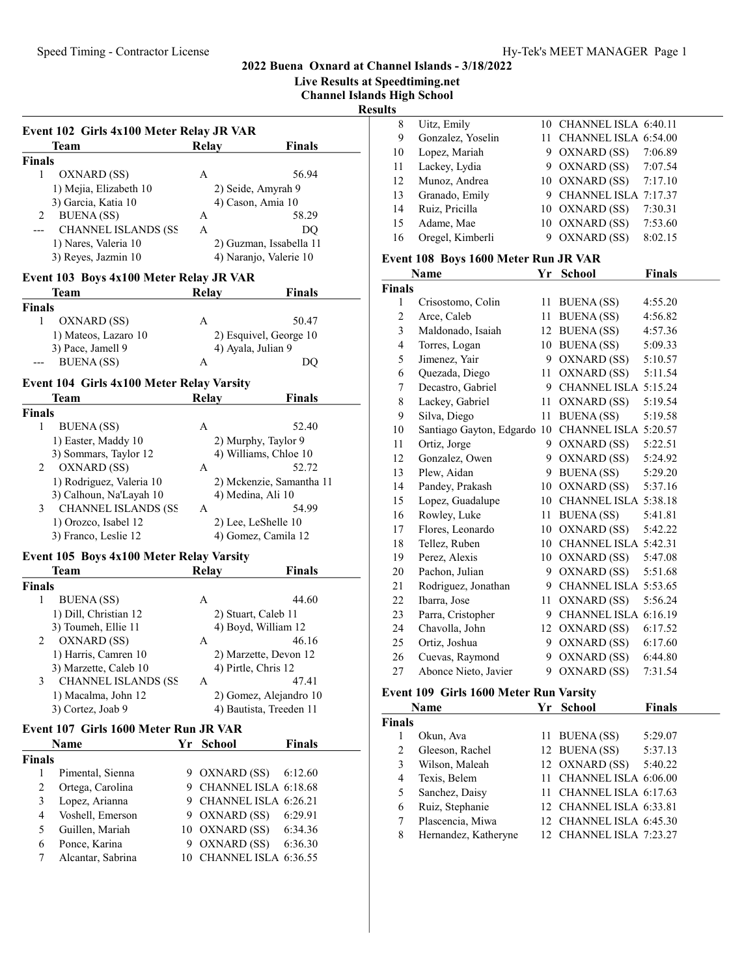## 2022 Buena Oxnard at Channel Islands - 3/18/2022 Live Results at Speedtiming.net

|                                           |                         |                            | <b>Channel Islands High School</b> |                              |
|-------------------------------------------|-------------------------|----------------------------|------------------------------------|------------------------------|
|                                           |                         |                            | <b>Results</b>                     |                              |
| Event 102 Girls 4x100 Meter Relay JR VAR  |                         |                            | 8                                  | Uitz, Emily                  |
|                                           |                         |                            | 9                                  | Gonzalez, Yoselin            |
| Team                                      | Relay                   | <b>Finals</b>              | 10                                 | Lopez, Mariah                |
| <b>Finals</b>                             |                         |                            | 11                                 | Lackey, Lydia                |
| 1<br>OXNARD (SS)                          | A                       | 56.94                      | 12                                 | Munoz, Andrea                |
| 1) Mejia, Elizabeth 10                    |                         | 2) Seide, Amyrah 9         | 13                                 | Granado, Emily               |
| 3) Garcia, Katia 10                       |                         | 4) Cason, Amia 10<br>58.29 | 14                                 | Ruiz, Pricilla               |
| <b>BUENA</b> (SS)<br>2                    | A                       |                            | 15                                 | Adame, Mae                   |
| <b>CHANNEL ISLANDS (SS</b><br>---         | A                       | DQ                         | 16                                 | Oregel, Kimberli             |
| 1) Nares, Valeria 10                      |                         | 2) Guzman, Issabella 11    |                                    |                              |
| 3) Reyes, Jazmin 10                       |                         | 4) Naranjo, Valerie 10     |                                    | Event 108 Boys 1600 Meter F  |
| Event 103 Boys 4x100 Meter Relay JR VAR   |                         |                            |                                    | Name                         |
| <b>Team</b>                               | Relay                   | <b>Finals</b>              | <b>Finals</b>                      |                              |
| <b>Finals</b>                             |                         |                            | $\mathbf{1}$                       | Crisostomo, Colin            |
| 1<br>OXNARD (SS)                          | A                       | 50.47                      | $\overline{2}$                     | Arce, Caleb                  |
| 1) Mateos, Lazaro 10                      |                         | 2) Esquivel, George 10     | 3                                  | Maldonado, Isaiah            |
| 3) Pace, Jamell 9                         |                         | 4) Ayala, Julian 9         | $\overline{4}$                     | Torres, Logan                |
| <b>BUENA</b> (SS)<br>---                  | A                       | DQ                         | 5                                  | Jimenez, Yair                |
|                                           |                         |                            | 6                                  | Quezada, Diego               |
| Event 104 Girls 4x100 Meter Relay Varsity |                         |                            | 7                                  | Decastro, Gabriel            |
| Team                                      | <b>Relay</b>            | <b>Finals</b>              | 8                                  | Lackey, Gabriel              |
| <b>Finals</b>                             |                         |                            | 9                                  | Silva, Diego                 |
| 1<br><b>BUENA</b> (SS)                    | A                       | 52.40                      | 10                                 | Santiago Gayton, Edgardo     |
| 1) Easter, Maddy 10                       |                         | 2) Murphy, Taylor 9        | 11                                 | Ortiz, Jorge                 |
| 3) Sommars, Taylor 12                     |                         | 4) Williams, Chloe 10      | 12                                 | Gonzalez, Owen               |
| OXNARD (SS)<br>$\overline{2}$             | A                       | 52.72                      | 13                                 | Plew, Aidan                  |
| 1) Rodriguez, Valeria 10                  |                         | 2) Mckenzie, Samantha 11   | 14                                 | Pandey, Prakash              |
| 3) Calhoun, Na'Layah 10                   |                         | 4) Medina, Ali 10          | 15                                 | Lopez, Guadalupe             |
| <b>CHANNEL ISLANDS (SS</b><br>3           | A                       | 54.99                      | 16                                 | Rowley, Luke                 |
| 1) Orozco, Isabel 12                      |                         | 2) Lee, LeShelle 10        | 17                                 | Flores, Leonardo             |
| 3) Franco, Leslie 12                      |                         | 4) Gomez, Camila 12        | 18                                 | Tellez, Ruben                |
| Event 105 Boys 4x100 Meter Relay Varsity  |                         |                            | 19                                 | Perez, Alexis                |
| Team                                      | Relay                   | <b>Finals</b>              | 20                                 | Pachon, Julian               |
| <b>Finals</b>                             |                         |                            | 21                                 | Rodriguez, Jonathan          |
| $\mathbf{1}$<br><b>BUENA</b> (SS)         | A                       | 44.60                      | 22                                 | Ibarra, Jose                 |
| 1) Dill, Christian 12                     |                         | 2) Stuart, Caleb 11        | 23                                 | Parra, Cristopher            |
| 3) Toumeh, Ellie 11                       |                         | 4) Boyd, William 12        | 24                                 | Chavolla, John               |
| $\overline{2}$<br>OXNARD (SS)             | A                       | 46.16                      | 25                                 | Ortiz, Joshua                |
| 1) Harris, Camren 10                      |                         | 2) Marzette, Devon 12      |                                    |                              |
| 3) Marzette, Caleb 10                     |                         | 4) Pirtle, Chris 12        | 26                                 | Cuevas, Raymond              |
| <b>CHANNEL ISLANDS (SS</b><br>3           | A                       | 47.41                      | 27                                 | Abonce Nieto, Javier         |
| 1) Macalma, John 12                       |                         | 2) Gomez, Alejandro 10     |                                    | Event 109 Girls 1600 Meter I |
| 3) Cortez, Joab 9                         |                         | 4) Bautista, Treeden 11    |                                    | Name                         |
|                                           |                         |                            | <b>Finals</b>                      |                              |
| Event 107 Girls 1600 Meter Run JR VAR     |                         |                            | $\mathbf{1}$                       | Okun, Ava                    |
| Name                                      | <b>School</b><br>Yr     | <b>Finals</b>              | $\sqrt{2}$                         | Gleeson, Rachel              |
| <b>Finals</b>                             |                         |                            | 3                                  | Wilson, Maleah               |
| Pimental, Sienna<br>1                     | 9 OXNARD (SS)           | 6:12.60                    | $\overline{4}$                     | Texis, Belem                 |
| $\overline{c}$<br>Ortega, Carolina        |                         | 9 CHANNEL ISLA 6:18.68     | 5                                  | Sanchez, Daisy               |
| 3<br>Lopez, Arianna                       |                         | 9 CHANNEL ISLA 6:26.21     | 6                                  | Ruiz, Stephanie              |
| $\overline{4}$<br>Voshell, Emerson        | 9 OXNARD (SS)           | 6:29.91                    | 7                                  | Plascencia, Miwa             |
| 5<br>Guillen, Mariah                      | 10 OXNARD (SS)          | 6:34.36                    | 8                                  | Hernandez, Katheryne         |
| 6<br>Ponce, Karina                        | 9 OXNARD (SS)           | 6:36.30                    |                                    |                              |
| 7<br>Alcantar, Sabrina                    | 10 CHANNEL ISLA 6:36.55 |                            |                                    |                              |
|                                           |                         |                            |                                    |                              |

| 8  | Uitz, Emily       |   | 10 CHANNEL ISLA 6:40.11 |         |
|----|-------------------|---|-------------------------|---------|
| 9  | Gonzalez, Yoselin |   | CHANNEL ISLA 6:54.00    |         |
| 10 | Lopez, Mariah     |   | 9 OXNARD (SS)           | 7:06.89 |
| 11 | Lackey, Lydia     |   | 9 OXNARD (SS) 7:07.54   |         |
| 12 | Munoz, Andrea     |   | 10 OXNARD (SS)          | 7:17.10 |
| 13 | Granado, Emily    | 9 | CHANNEL ISLA 7:17.37    |         |
| 14 | Ruiz, Pricilla    |   | 10 OXNARD (SS)          | 7:30.31 |
| 15 | Adame, Mae        |   | 10 OXNARD (SS)          | 7:53.60 |
| 16 | Oregel, Kimberli  |   | OXNARD (SS)             | 8:02.15 |
|    |                   |   |                         |         |

## Run JR VAR

|        | Name                        | Yr | School                 | <b>Finals</b> |
|--------|-----------------------------|----|------------------------|---------------|
| Finals |                             |    |                        |               |
| 1      | Crisostomo, Colin           | 11 | <b>BUENA</b> (SS)      | 4:55.20       |
| 2      | Arce, Caleb                 | 11 | <b>BUENA</b> (SS)      | 4:56.82       |
| 3      | Maldonado, Isaiah           | 12 | <b>BUENA</b> (SS)      | 4:57.36       |
| 4      | Torres, Logan               | 10 | <b>BUENA</b> (SS)      | 5:09.33       |
| 5      | Jimenez, Yair               | 9  | OXNARD (SS)            | 5:10.57       |
| 6      | Quezada, Diego              | 11 | OXNARD (SS)            | 5:11.54       |
| 7      | Decastro, Gabriel           |    | 9 CHANNEL ISLA 5:15.24 |               |
| 8      | Lackey, Gabriel             | 11 | OXNARD (SS)            | 5:19.54       |
| 9      | Silva, Diego                | 11 | <b>BUENA</b> (SS)      | 5:19.58       |
| 10     | Santiago Gayton, Edgardo 10 |    | CHANNEL ISLA 5:20.57   |               |
| 11     | Ortiz, Jorge                | 9  | OXNARD (SS)            | 5:22.51       |
| 12     | Gonzalez, Owen              | 9  | OXNARD (SS)            | 5:24.92       |
| 13     | Plew, Aidan                 | 9  | <b>BUENA</b> (SS)      | 5:29.20       |
| 14     | Pandey, Prakash             | 10 | OXNARD (SS)            | 5:37.16       |
| 15     | Lopez, Guadalupe            | 10 | CHANNEL ISLA 5:38.18   |               |
| 16     | Rowley, Luke                | 11 | <b>BUENA</b> (SS)      | 5:41.81       |
| 17     | Flores, Leonardo            | 10 | OXNARD (SS)            | 5:42.22       |
| 18     | Tellez, Ruben               | 10 | CHANNEL ISLA 5:42.31   |               |
| 19     | Perez, Alexis               | 10 | OXNARD (SS)            | 5:47.08       |
| 20     | Pachon, Julian              | 9  | OXNARD (SS)            | 5:51.68       |
| 21     | Rodriguez, Jonathan         |    | 9 CHANNEL ISLA 5:53.65 |               |
| 22     | Ibarra, Jose                | 11 | OXNARD (SS)            | 5:56.24       |
| 23     | Parra, Cristopher           |    | 9 CHANNEL ISLA 6:16.19 |               |
| 24     | Chavolla, John              | 12 | OXNARD (SS)            | 6:17.52       |
| 25     | Ortiz, Joshua               | 9  | OXNARD (SS)            | 6:17.60       |
| 26     | Cuevas, Raymond             | 9  | OXNARD (SS)            | 6:44.80       |
| 27     | Abonce Nieto, Javier        | 9  | OXNARD (SS)            | 7:31.54       |

# **Run Varsity**

|               | Name                 | Yr | School                  | <b>Finals</b> |
|---------------|----------------------|----|-------------------------|---------------|
| inals         |                      |    |                         |               |
|               | Okun, Ava            |    | 11 BUENA (SS)           | 5:29.07       |
| $\mathcal{P}$ | Gleeson, Rachel      |    | 12 BUENA (SS)           | 5:37.13       |
| 3             | Wilson, Maleah       |    | 12 OXNARD (SS)          | 5:40.22       |
| 4             | Texis, Belem         |    | 11 CHANNEL ISLA 6:06.00 |               |
| 5             | Sanchez, Daisy       |    | 11 CHANNEL ISLA 6:17.63 |               |
| 6             | Ruiz, Stephanie      |    | 12 CHANNEL ISLA 6:33.81 |               |
| 7             | Plascencia, Miwa     |    | 12 CHANNEL ISLA 6:45.30 |               |
| 8             | Hernandez, Katheryne |    | 12 CHANNEL ISLA 7:23.27 |               |
|               |                      |    |                         |               |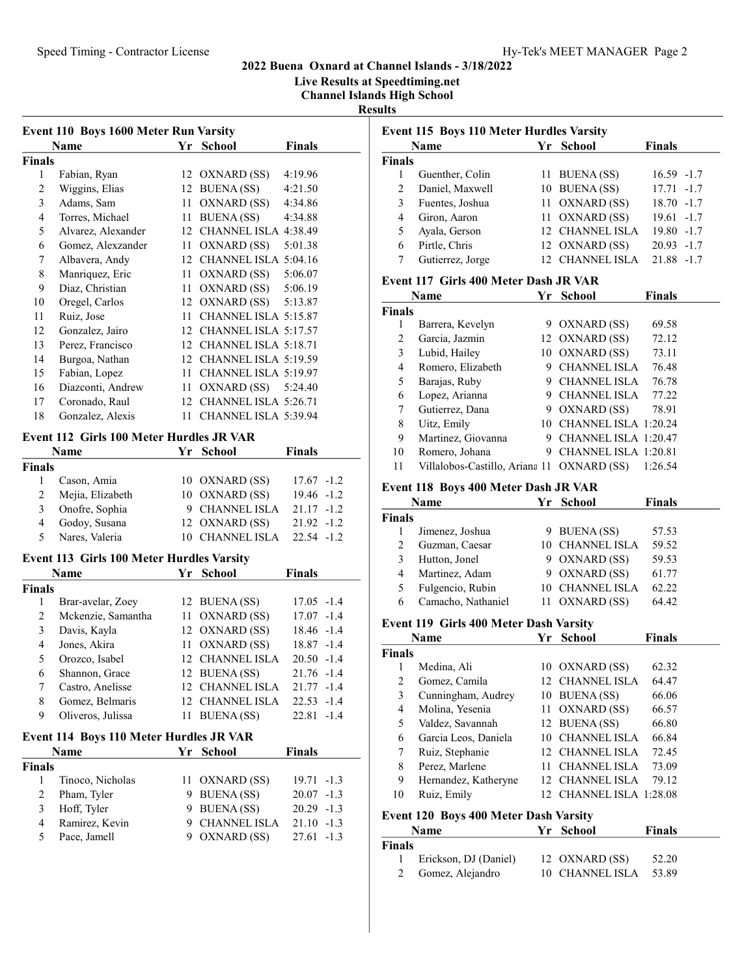# Speed Timing - Contractor License Hy-Tek's MEET MANAGER Page 2

## 2022 Buena Oxnard at Channel Islands - 3/18/2022

Live Results at Speedtiming.net

Channel Islands High School

Results

|                | Event 110 Boys 1600 Meter Run Varsity            |      |                         |                 |  |
|----------------|--------------------------------------------------|------|-------------------------|-----------------|--|
|                | Name                                             |      | Yr School               | <b>Finals</b>   |  |
| <b>Finals</b>  |                                                  |      |                         |                 |  |
| 1              | Fabian, Ryan                                     |      | 12 OXNARD (SS)          | 4:19.96         |  |
| $\overline{c}$ | Wiggins, Elias                                   |      | 12 BUENA (SS)           | 4:21.50         |  |
| 3              | Adams, Sam                                       |      | 11 OXNARD (SS)          | 4:34.86         |  |
| 4              | Torres, Michael                                  |      | 11 BUENA (SS)           | 4:34.88         |  |
| 5              | Alvarez, Alexander                               |      | 12 CHANNEL ISLA 4:38.49 |                 |  |
| 6              | Gomez, Alexzander                                |      | 11 OXNARD (SS)          | 5:01.38         |  |
| 7              | Albavera, Andy                                   |      | 12 CHANNEL ISLA 5:04.16 |                 |  |
| 8              | Manriquez, Eric                                  |      | 11 OXNARD (SS)          | 5:06.07         |  |
| 9              | Diaz, Christian                                  |      | 11 OXNARD (SS) 5:06.19  |                 |  |
| 10             | Oregel, Carlos                                   |      | 12 OXNARD (SS) 5:13.87  |                 |  |
| 11             | Ruiz, Jose                                       | 11   | CHANNEL ISLA 5:15.87    |                 |  |
| 12             | Gonzalez, Jairo                                  |      | 12 CHANNEL ISLA 5:17.57 |                 |  |
| 13             | Perez, Francisco                                 |      | 12 CHANNEL ISLA 5:18.71 |                 |  |
| 14             | Burgoa, Nathan                                   |      | 12 CHANNEL ISLA 5:19.59 |                 |  |
| 15             | Fabian, Lopez                                    |      | 11 CHANNEL ISLA 5:19.97 |                 |  |
| 16             | Diazconti, Andrew                                |      | 11 OXNARD (SS) 5:24.40  |                 |  |
| 17             | Coronado, Raul                                   |      | 12 CHANNEL ISLA 5:26.71 |                 |  |
| 18             | Gonzalez, Alexis                                 |      | 11 CHANNEL ISLA 5:39.94 |                 |  |
|                | Event 112 Girls 100 Meter Hurdles JR VAR         |      |                         |                 |  |
|                | Name                                             | Yr   | <b>School</b>           | <b>Finals</b>   |  |
| <b>Finals</b>  |                                                  |      |                         |                 |  |
| $\mathbf{1}$   | Cason, Amia                                      |      | 10 OXNARD (SS)          | $17.67 - 1.2$   |  |
| $\overline{2}$ | Mejia, Elizabeth                                 |      | 10 OXNARD (SS)          | $19.46 - 1.2$   |  |
| 3              | Onofre, Sophia                                   |      | 9 CHANNEL ISLA          | $21.17 - 1.2$   |  |
| 4              | Godoy, Susana                                    | 12   | OXNARD (SS)             | $21.92 -1.2$    |  |
| 5              | Nares, Valeria                                   |      | 10 CHANNEL ISLA         | $22.54 - 1.2$   |  |
|                | <b>Event 113 Girls 100 Meter Hurdles Varsity</b> |      |                         |                 |  |
|                | Name                                             | Yr   | School                  | <b>Finals</b>   |  |
| <b>Finals</b>  |                                                  |      |                         |                 |  |
| 1              | Brar-avelar, Zoey                                |      | 12 BUENA (SS)           | $17.05 -1.4$    |  |
| $\overline{c}$ | Mckenzie, Samantha                               |      | 11 OXNARD (SS)          | $17.07 - 1.4$   |  |
| 3              | Davis, Kayla                                     |      | 12 OXNARD (SS)          | 18.46 -1.4      |  |
| 4              | Jones, Akira                                     | 11   | OXNARD (SS)             | 18.87 -1.4      |  |
| 5              | Orozco, Isabel                                   |      | 12 CHANNEL ISLA         | $20.50 -1.4$    |  |
| 6              | Shannon, Grace                                   |      | 12 BUENA (SS)           | 21.76 -1.4      |  |
| 7              | Castro, Anelisse                                 |      | 12 CHANNEL ISLA         | 21.77<br>$-1.4$ |  |
| 8              | Gomez, Belmaris                                  |      | 12 CHANNEL ISLA         | 22.53<br>$-1.4$ |  |
| 9              | Oliveros, Julissa                                | 11   | <b>BUENA</b> (SS)       | 22.81<br>$-1.4$ |  |
|                |                                                  |      |                         |                 |  |
|                | Event 114 Boys 110 Meter Hurdles JR VAR          |      |                         |                 |  |
|                | <b>Name</b>                                      | Yr   | <b>School</b>           | <b>Finals</b>   |  |
| <b>Finals</b>  |                                                  |      |                         |                 |  |
| 1              | Tinoco, Nicholas                                 | 11 - | OXNARD (SS)             | 19.71<br>$-1.3$ |  |
| $\overline{2}$ | Pham, Tyler                                      |      | 9 BUENA (SS)            | 20.07<br>$-1.3$ |  |
| 3              | Hoff, Tyler                                      |      | 9 BUENA (SS)            | $20.29 -1.3$    |  |
| $\overline{4}$ | Ramirez, Kevin                                   |      | 9 CHANNEL ISLA          | $21.10 -1.3$    |  |
| 5              | Pace, Jamell                                     |      | 9 OXNARD (SS)           | 27.61<br>$-1.3$ |  |
|                |                                                  |      |                         |                 |  |

|                         | Event 115 Boys 110 Meter Hurdles Varsity   |          |                                             |               |
|-------------------------|--------------------------------------------|----------|---------------------------------------------|---------------|
|                         | <b>Name</b>                                | Yr       | <b>School</b>                               | Finals        |
| <b>Finals</b>           |                                            |          |                                             |               |
| 1                       | Guenther, Colin                            |          | 11 BUENA (SS)                               | $16.59 - 1.7$ |
| $\overline{c}$          | Daniel, Maxwell                            |          | 10 BUENA (SS)                               | $17.71 - 1.7$ |
| 3                       | Fuentes, Joshua                            |          | 11 OXNARD (SS)                              | $18.70 - 1.7$ |
| $\overline{4}$          | Giron, Aaron                               |          | 11 OXNARD (SS)                              | $19.61 - 1.7$ |
| 5                       | Ayala, Gerson                              |          | 12 CHANNEL ISLA                             | $19.80 - 1.7$ |
| 6                       | Pirtle, Chris                              |          | 12 OXNARD (SS)                              | $20.93 -1.7$  |
| 7                       | Gutierrez, Jorge                           |          | 12 CHANNEL ISLA                             | 21.88 -1.7    |
|                         | Event 117 Girls 400 Meter Dash JR VAR      |          |                                             |               |
|                         | Name                                       |          | Yr School                                   | <b>Finals</b> |
| <b>Finals</b>           |                                            |          |                                             |               |
| 1                       | Barrera, Kevelyn                           |          | 9 OXNARD (SS)                               | 69.58         |
| 2                       | Garcia, Jazmin                             |          | 12 OXNARD (SS)                              | 72.12         |
| 3                       | Lubid, Hailey                              |          | 10 OXNARD (SS)                              | 73.11         |
| $\overline{\mathbf{4}}$ | Romero, Elizabeth                          |          | 9 CHANNEL ISLA                              | 76.48         |
| 5                       | Barajas, Ruby                              |          | 9 CHANNEL ISLA                              | 76.78         |
| 6                       | Lopez, Arianna                             |          | 9 CHANNEL ISLA                              | 77.22         |
| 7                       | Gutierrez, Dana                            |          | 9 OXNARD (SS)                               | 78.91         |
| 8                       | Uitz, Emily                                |          | 10 CHANNEL ISLA 1:20.24                     |               |
| 9                       | Martinez, Giovanna                         |          | 9 CHANNEL ISLA 1:20.47                      |               |
| 10                      | Romero, Johana                             |          | 9 CHANNEL ISLA 1:20.81                      |               |
| 11                      | Villalobos-Castillo, Ariana 11 OXNARD (SS) |          |                                             | 1:26.54       |
|                         | Event 118 Boys 400 Meter Dash JR VAR       |          |                                             |               |
|                         | Name                                       | Yr       | <b>School</b>                               | Finals        |
| <b>Finals</b>           |                                            |          |                                             |               |
| 1                       | Jimenez, Joshua                            |          | 9 BUENA (SS)                                | 57.53         |
| 2                       | Guzman, Caesar                             |          | 10 CHANNEL ISLA                             | 59.52         |
| 3                       | Hutton, Jonel                              |          | 9 OXNARD (SS)                               | 59.53         |
| $\overline{4}$          | Martinez, Adam                             |          | 9 OXNARD (SS)                               | 61.77         |
| 5                       | Fulgencio, Rubin                           |          | 10 CHANNEL ISLA                             | 62.22         |
| 6                       | Camacho, Nathaniel                         |          | 11 OXNARD (SS)                              | 64.42         |
|                         | Event 119 Girls 400 Meter Dash Varsity     |          |                                             |               |
|                         | Name                                       | Yr       | <b>School</b>                               | <b>Finals</b> |
| <b>Finals</b>           |                                            |          |                                             |               |
| 1                       | Medina, Ali                                |          | 10 OXNARD (SS)                              | 62.32         |
| $\overline{\mathbf{c}}$ | Gomez, Camila                              | 12       | <b>CHANNEL ISLA</b>                         | 64.47         |
| 3                       | Cunningham, Audrey                         |          | 10 BUENA (SS)                               | 66.06         |
| $\overline{\mathbf{4}}$ | Molina, Yesenia                            | 11       | OXNARD (SS)                                 | 66.57         |
| 5                       | Valdez, Savannah                           |          | 12 BUENA (SS)                               | 66.80         |
| 6                       | Garcia Leos, Daniela                       |          | 10 CHANNEL ISLA                             | 66.84         |
| 7                       | Ruiz, Stephanie                            |          | 12 CHANNEL ISLA                             | 72.45         |
| 8                       |                                            |          | <b>CHANNEL ISLA</b>                         |               |
| 9                       | Perez, Marlene                             | 11       |                                             | 73.09         |
| 10                      | Hernandez, Katheryne<br>Ruiz, Emily        | 12<br>12 | <b>CHANNEL ISLA</b><br>CHANNEL ISLA 1:28.08 | 79.12         |
|                         |                                            |          |                                             |               |
|                         | Event 120 Boys 400 Meter Dash Varsity      |          |                                             |               |
|                         | Name                                       | Yr       | <b>School</b>                               | <b>Finals</b> |
| <b>Finals</b>           |                                            |          |                                             |               |
| 1                       | Erickson, DJ (Daniel)                      | 12       | OXNARD (SS)                                 | 52.20         |
| 2                       | Gomez, Alejandro                           | 10       | <b>CHANNEL ISLA</b>                         | 53.89         |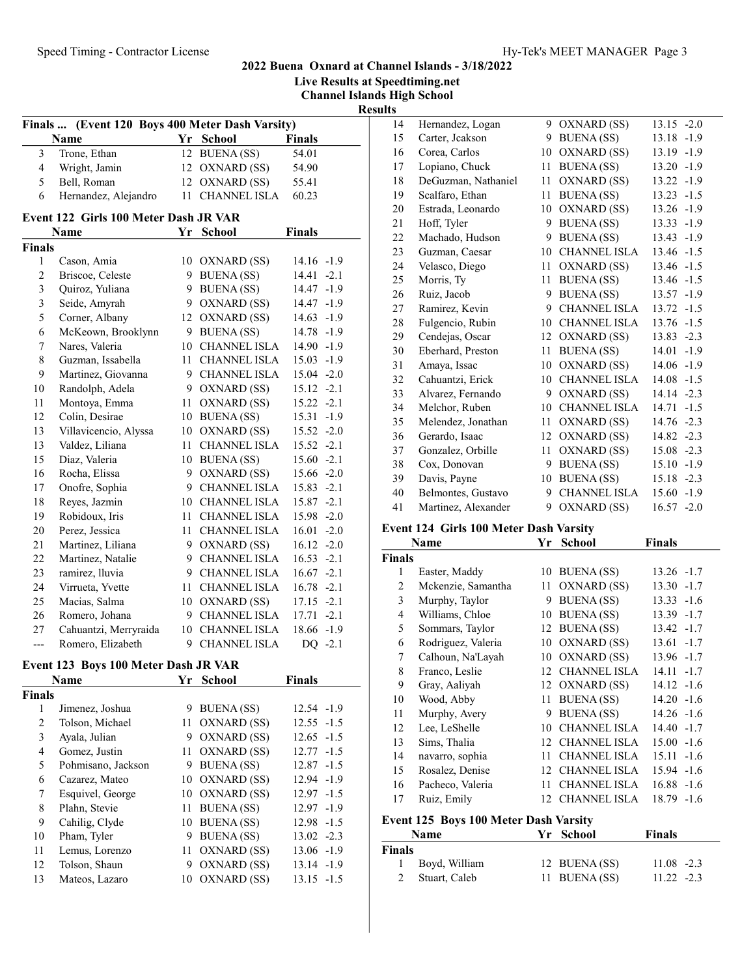|                         |                                                 |                            |               |                                    |                | <b>Live Results at Speedtiming.net</b> |
|-------------------------|-------------------------------------------------|----------------------------|---------------|------------------------------------|----------------|----------------------------------------|
|                         |                                                 |                            |               | <b>Channel Islands High School</b> |                |                                        |
|                         |                                                 |                            |               |                                    | <b>Results</b> |                                        |
|                         | Finals  (Event 120 Boys 400 Meter Dash Varsity) |                            |               |                                    | 14             | Hernande                               |
|                         | Name                                            | Yr School                  | <b>Finals</b> |                                    | 15             | Carter, Jc                             |
| $\overline{\mathbf{3}}$ | Trone, Ethan                                    | 12 BUENA (SS)              | 54.01         |                                    | 16             | Corea, Ca                              |
| $\overline{4}$          | Wright, Jamin                                   | 12 OXNARD (SS)             | 54.90         |                                    | 17             | Lopiano,                               |
| 5                       | Bell, Roman                                     | 12 OXNARD (SS)             | 55.41         |                                    | 18             | DeGuzma                                |
| 6                       | Hernandez, Alejandro                            | 11 CHANNEL ISLA            | 60.23         |                                    | 19             | Scalfaro,                              |
|                         | Event 122 Girls 100 Meter Dash JR VAR           |                            |               |                                    | $20\,$         | Estrada, I                             |
|                         | Name                                            | Yr School                  | Finals        |                                    | 21             | Hoff, Tyle                             |
| Finals                  |                                                 |                            |               |                                    | 22             | Machado.                               |
| 1                       | Cason, Amia                                     | 10 OXNARD (SS)             | $14.16 - 1.9$ |                                    | 23             | Guzman,                                |
| $\overline{c}$          | Briscoe, Celeste                                | 9 BUENA (SS)               | $14.41 -2.1$  |                                    | 24             | Velasco, l                             |
| $\mathfrak{Z}$          | Quiroz, Yuliana                                 | 9 BUENA (SS)               | 14.47 -1.9    |                                    | 25             | Morris, T                              |
| $\mathfrak{Z}$          | Seide, Amyrah                                   | 9 OXNARD (SS)              | $14.47 - 1.9$ |                                    | 26             | Ruiz, Jaco                             |
| 5                       | Corner, Albany                                  | 12 OXNARD (SS)             | $14.63 - 1.9$ |                                    | 27             | Ramirez,                               |
| 6                       | McKeown, Brooklynn                              | 9 BUENA (SS)               | $14.78 - 1.9$ |                                    | 28             | Fulgencio                              |
| 7                       | Nares, Valeria                                  | 10 CHANNEL ISLA            | $14.90 -1.9$  |                                    | 29             | Cendejas,                              |
| $\,$ 8 $\,$             | Guzman, Issabella                               | 11 CHANNEL ISLA            | $15.03 - 1.9$ |                                    | 30             | Eberhard,                              |
| 9                       | Martinez, Giovanna                              | 9 CHANNEL ISLA             | $15.04 -2.0$  |                                    | 31             | Amaya, Is                              |
| 10                      | Randolph, Adela                                 | 9 OXNARD (SS)              | $15.12 -2.1$  |                                    | 32             | Cahuantz                               |
|                         |                                                 |                            |               |                                    | 33             | Alvarez, l                             |
| 11                      | Montoya, Emma                                   | 11 OXNARD (SS)             | $15.22 -2.1$  |                                    | 34             | Melchor,                               |
| 12                      | Colin, Desirae                                  | 10 BUENA (SS)              | $15.31 - 1.9$ |                                    | 35             | Melendez                               |
| 13                      | Villavicencio, Alyssa                           | 10 OXNARD (SS)             | 15.52 -2.0    |                                    | 36             | Gerardo,                               |
| 13                      | Valdez, Liliana                                 | 11 CHANNEL ISLA            | $15.52 -2.1$  |                                    | 37             | Gonzalez                               |
| 15                      | Diaz, Valeria                                   | 10 BUENA (SS)              | $15.60 -2.1$  |                                    | 38             | Cox, Don                               |
| 16                      | Rocha, Elissa                                   | 9 OXNARD (SS)              | 15.66 -2.0    |                                    | 39             | Davis, Pa                              |
| 17                      | Onofre, Sophia                                  | 9 CHANNEL ISLA             | $15.83 -2.1$  |                                    | 40             | Belmonte                               |
| 18                      | Reyes, Jazmin                                   | 10 CHANNEL ISLA            | 15.87 -2.1    |                                    | 41             | Martinez,                              |
| 19                      | Robidoux, Iris                                  | 11 CHANNEL ISLA            | $15.98 - 2.0$ |                                    |                |                                        |
| 20                      | Perez, Jessica                                  | 11 CHANNEL ISLA            | $16.01 -2.0$  |                                    |                | Event 124 Girl                         |
| 21                      | Martinez, Liliana                               | 9 OXNARD (SS)              | $16.12 -2.0$  |                                    |                | Name                                   |
| 22                      | Martinez, Natalie                               | 9 CHANNEL ISLA             | $16.53 -2.1$  |                                    | <b>Finals</b>  |                                        |
| 23                      | ramirez, lluvia                                 | 9 CHANNEL ISLA             | $16.67 -2.1$  |                                    | 1              | Easter, M                              |
| 24                      | Virrueta, Yvette                                | 11 CHANNEL ISLA            | $16.78 - 2.1$ |                                    | $\overline{2}$ | Mckenzie                               |
| 25                      | Macias, Salma                                   | 10 OXNARD (SS)             | $17.15 - 2.1$ |                                    | $\mathfrak{Z}$ | Murphy,                                |
| 26                      | Romero, Johana                                  | 9 CHANNEL ISLA             | $17.71 - 2.1$ |                                    | $\overline{4}$ | Williams,                              |
| 27                      | Cahuantzi, Merryraida                           | 10 CHANNEL ISLA 18.66 -1.9 |               |                                    | 5 <sup>5</sup> | Sommars                                |
| ---                     | Romero, Elizabeth                               | 9 CHANNEL ISLA             | $DQ -2.1$     |                                    | 6              | Rodrigue:                              |
|                         |                                                 |                            |               |                                    | 7              | Calhoun,                               |
|                         | Event 123 Boys 100 Meter Dash JR VAR            |                            |               |                                    | 8              | Franco, L                              |
|                         | Name                                            | Yr School                  | <b>Finals</b> |                                    | 9              | Gray, Aal                              |
| Finals                  |                                                 |                            |               |                                    | 10             | Wood, Al                               |
| $\mathbf{1}$            | Jimenez, Joshua                                 | 9 BUENA (SS)               | 12.54 -1.9    |                                    | 11             | Murphy,                                |
| $\overline{c}$          | Tolson, Michael                                 | 11 OXNARD (SS)             | $12.55 - 1.5$ |                                    | 12             | Lee, LeSl                              |
| 3                       | Ayala, Julian                                   | 9 OXNARD (SS)              | $12.65 - 1.5$ |                                    | 13             | Sime The                               |

4 Gomez, Justin 11 OXNARD (SS) 12.77 -1.5 5 Pohmisano, Jackson 9 BUENA (SS) 12.87 -1.5 6 12.94 -1.9 Cazarez, Mateo 10 OXNARD (SS) 7 Esquivel, George 10 OXNARD (SS) 12.97 -1.5 8 Plahn, Stevie 11 BUENA (SS) 12.97 -1.9<br>9 Cahilig, Clyde 10 BUENA (SS) 12.98 -1.5

10 Pham, Tyler 9 BUENA (SS) 13.02 -2.3 11 Lemus, Lorenzo 11 OXNARD (SS) 13.06 -1.9 12 Tolson, Shaun 9 OXNARD (SS) 13.14 -1.9 13 Mateos, Lazaro 10 OXNARD (SS) 13.15 -1.5

9 Cahilig, Clyde 10 BUENA (SS)

| 14 | Hernandez, Logan    | 9  | OXNARD (SS)         | $-2.0$<br>13.15 |
|----|---------------------|----|---------------------|-----------------|
| 15 | Carter, Jeakson     | 9  | <b>BUENA</b> (SS)   | 13.18<br>$-1.9$ |
| 16 | Corea, Carlos       | 10 | OXNARD (SS)         | 13.19<br>$-1.9$ |
| 17 | Lopiano, Chuck      | 11 | <b>BUENA</b> (SS)   | 13.20<br>$-1.9$ |
| 18 | DeGuzman, Nathaniel | 11 | OXNARD (SS)         | $-1.9$<br>13.22 |
| 19 | Scalfaro, Ethan     | 11 | <b>BUENA</b> (SS)   | 13.23<br>$-1.5$ |
| 20 | Estrada, Leonardo   | 10 | OXNARD (SS)         | 13.26<br>$-1.9$ |
| 21 | Hoff, Tyler         | 9  | <b>BUENA</b> (SS)   | 13.33<br>$-1.9$ |
| 22 | Machado, Hudson     | 9  | <b>BUENA</b> (SS)   | $-1.9$<br>13.43 |
| 23 | Guzman, Caesar      | 10 | <b>CHANNEL ISLA</b> | 13.46<br>$-1.5$ |
| 24 | Velasco, Diego      | 11 | OXNARD (SS)         | $-1.5$<br>13.46 |
| 25 | Morris, Ty          | 11 | <b>BUENA</b> (SS)   | 13.46<br>$-1.5$ |
| 26 | Ruiz, Jacob         | 9  | <b>BUENA(SS)</b>    | 13.57<br>$-1.9$ |
| 27 | Ramirez, Kevin      | 9  | <b>CHANNEL ISLA</b> | 13.72<br>$-1.5$ |
| 28 | Fulgencio, Rubin    | 10 | <b>CHANNEL ISLA</b> | $-1.5$<br>13.76 |
| 29 | Cendejas, Oscar     | 12 | OXNARD (SS)         | 13.83<br>$-2.3$ |
| 30 | Eberhard, Preston   | 11 | <b>BUENA</b> (SS)   | 14.01<br>$-1.9$ |
| 31 | Amaya, Issac        | 10 | OXNARD (SS)         | 14.06<br>$-1.9$ |
| 32 | Cahuantzi, Erick    | 10 | <b>CHANNEL ISLA</b> | 14.08<br>$-1.5$ |
| 33 | Alvarez, Fernando   | 9  | OXNARD (SS)         | $-2.3$<br>14.14 |
| 34 | Melchor, Ruben      | 10 | <b>CHANNEL ISLA</b> | 14.71<br>$-1.5$ |
| 35 | Melendez, Jonathan  | 11 | OXNARD (SS)         | $-2.3$<br>14.76 |
| 36 | Gerardo, Isaac      | 12 | OXNARD (SS)         | 14.82<br>$-2.3$ |
| 37 | Gonzalez, Orbille   | 11 | OXNARD (SS)         | 15.08<br>$-2.3$ |
| 38 | Cox, Donovan        | 9  | <b>BUENA(SS)</b>    | 15.10<br>$-1.9$ |
| 39 | Davis, Payne        | 10 | <b>BUENA</b> (SS)   | 15.18<br>$-2.3$ |
| 40 | Belmontes, Gustavo  | 9  | <b>CHANNEL ISLA</b> | 15.60<br>$-1.9$ |
| 41 | Martinez, Alexander | 9  | OXNARD (SS)         | $-2.0$<br>16.57 |

## Event 124 Girls 100 Meter Dash Varsity

2022 Buena Oxnard at Channel Islands - 3/18/2022

|               | Name               | Yr | <b>School</b>       | <b>Finals</b>   |
|---------------|--------------------|----|---------------------|-----------------|
| <b>Finals</b> |                    |    |                     |                 |
| 1             | Easter, Maddy      | 10 | <b>BUENA</b> (SS)   | 13.26 -1.7      |
| 2             | Mckenzie, Samantha | 11 | OXNARD (SS)         | 13.30<br>$-1.7$ |
| 3             | Murphy, Taylor     | 9  | <b>BUENA</b> (SS)   | 13.33<br>$-1.6$ |
| 4             | Williams, Chloe    | 10 | <b>BUENA</b> (SS)   | 13.39<br>$-1.7$ |
| 5             | Sommars, Taylor    | 12 | <b>BUENA</b> (SS)   | 13.42 -1.7      |
| 6             | Rodriguez, Valeria | 10 | OXNARD (SS)         | 13.61<br>$-1.7$ |
| 7             | Calhoun, Na'Layah  | 10 | OXNARD (SS)         | 13.96 -1.7      |
| 8             | Franco, Leslie     | 12 | <b>CHANNEL ISLA</b> | 14.11<br>$-1.7$ |
| 9             | Gray, Aaliyah      | 12 | OXNARD (SS)         | $14.12 - 1.6$   |
| 10            | Wood, Abby         | 11 | BUENA (SS)          | 14.20<br>$-1.6$ |
| 11            | Murphy, Avery      | 9  | <b>BUENA</b> (SS)   | $14.26 - 1.6$   |
| 12            | Lee, LeShelle      | 10 | <b>CHANNEL ISLA</b> | 14.40<br>$-1.7$ |
| 13            | Sims, Thalia       | 12 | <b>CHANNEL ISLA</b> | 15.00<br>$-1.6$ |
| 14            | navarro, sophia    | 11 | CHANNEL ISLA        | $-1.6$<br>15.11 |
| 15            | Rosalez, Denise    | 12 | <b>CHANNEL ISLA</b> | 15.94<br>$-1.6$ |
| 16            | Pacheco, Valeria   | 11 | <b>CHANNEL ISLA</b> | 16.88<br>$-1.6$ |
| 17            | Ruiz, Emily        | 12 | <b>CHANNEL ISLA</b> | 18.79<br>$-1.6$ |

# Event 125 Boys 100 Meter Dash Varsity

|        | <b>Name</b>   | Yr School     | <b>Finals</b> |
|--------|---------------|---------------|---------------|
| Finals |               |               |               |
|        | Boyd, William | 12 BUENA (SS) | $11.08 - 2.3$ |
|        | Stuart, Caleb | 11 BUENA (SS) | $11.22 - 2.3$ |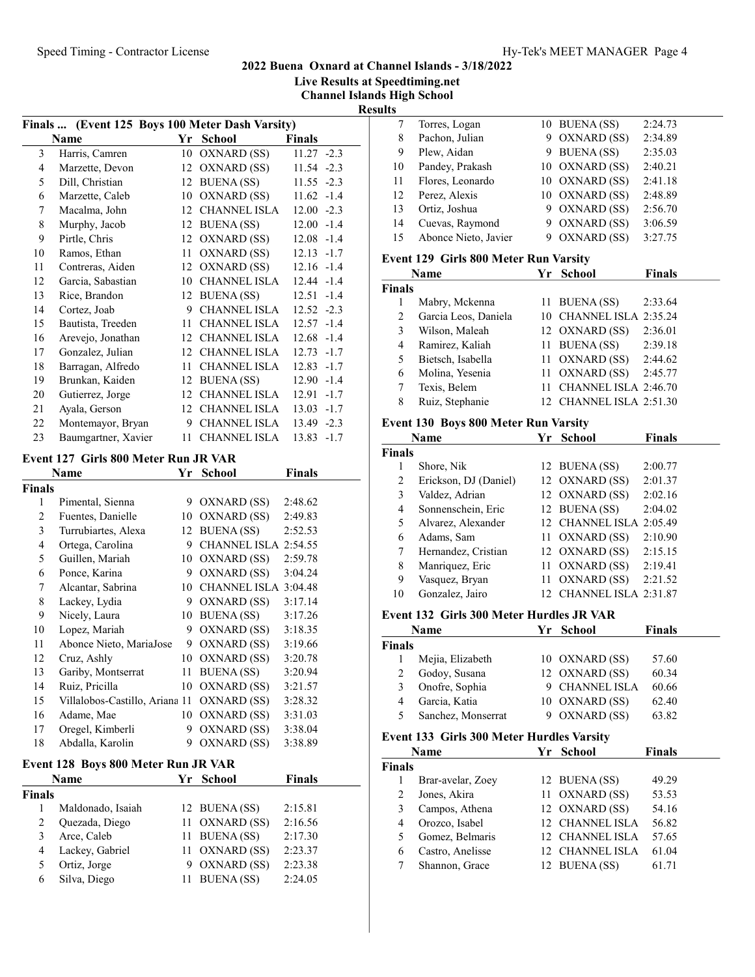Live Results at Speedtiming.net

Channel Islands High School

Results

|                | Finals  (Event 125 Boys 100 Meter Dash Varsity) |    |                     |                 |
|----------------|-------------------------------------------------|----|---------------------|-----------------|
|                | Name                                            | Yr | <b>School</b>       | <b>Finals</b>   |
| 3              | Harris, Camren                                  | 10 | OXNARD (SS)         | $11.27 -2.3$    |
| $\overline{4}$ | Marzette, Devon                                 | 12 | OXNARD (SS)         | $11.54 -2.3$    |
| 5              | Dill, Christian                                 | 12 | <b>BUENA</b> (SS)   | $11.55 - 2.3$   |
| 6              | Marzette, Caleb                                 | 10 | OXNARD (SS)         | $11.62 -1.4$    |
| 7              | Macalma, John                                   | 12 | CHANNEL ISLA        | $12.00 -2.3$    |
| 8              | Murphy, Jacob                                   | 12 | BUENA (SS)          | $12.00 -1.4$    |
| 9              | Pirtle, Chris                                   | 12 | OXNARD (SS)         | $12.08 - 1.4$   |
| 10             | Ramos, Ethan                                    | 11 | OXNARD (SS)         | $12.13 - 1.7$   |
| 11             | Contreras, Aiden                                | 12 | OXNARD (SS)         | $12.16 - 1.4$   |
| 12             | Garcia, Sabastian                               | 10 | CHANNEL ISLA        | $12.44 - 1.4$   |
| 13             | Rice, Brandon                                   |    | 12 BUENA (SS)       | $12.51 - 1.4$   |
| 14             | Cortez, Joab                                    | 9  | CHANNEL ISLA        | $12.52 - 2.3$   |
| 15             | Bautista, Treeden                               | 11 | <b>CHANNEL ISLA</b> | $12.57 - 1.4$   |
| 16             | Arevejo, Jonathan                               | 12 | <b>CHANNEL ISLA</b> | $12.68 - 1.4$   |
| 17             | Gonzalez, Julian                                |    | 12 CHANNEL ISLA     | $12.73 - 1.7$   |
| 18             | Barragan, Alfredo                               | 11 | CHANNEL ISLA        | $12.83 - 1.7$   |
| 19             | Brunkan, Kaiden                                 | 12 | <b>BUENA</b> (SS)   | 12.90<br>$-1.4$ |
| 20             | Gutierrez, Jorge                                | 12 | CHANNEL ISLA        | $-1.7$<br>12.91 |
| 21             | Ayala, Gerson                                   | 12 | CHANNEL ISLA        | $13.03 - 1.7$   |
| 22             | Montemayor, Bryan                               | 9  | <b>CHANNEL ISLA</b> | 13.49 -2.3      |
| 23             | Baumgartner, Xavier                             | 11 | <b>CHANNEL ISLA</b> | 13.83 -1.7      |

### Event 127 Girls 800 Meter Run JR VAR

|               | Name                           | Yr | School               | <b>Finals</b> |
|---------------|--------------------------------|----|----------------------|---------------|
| <b>Finals</b> |                                |    |                      |               |
| 1             | Pimental, Sienna               | 9  | OXNARD (SS)          | 2:48.62       |
| 2             | Fuentes, Danielle              | 10 | OXNARD (SS)          | 2:49.83       |
| 3             | Turrubiartes, Alexa            | 12 | <b>BUENA</b> (SS)    | 2:52.53       |
| 4             | Ortega, Carolina               | 9  | CHANNEL ISLA 2:54.55 |               |
| 5             | Guillen, Mariah                | 10 | OXNARD (SS)          | 2:59.78       |
| 6             | Ponce, Karina                  | 9  | OXNARD (SS)          | 3:04.24       |
| 7             | Alcantar, Sabrina              | 10 | CHANNEL ISLA 3:04.48 |               |
| 8             | Lackey, Lydia                  | 9  | OXNARD (SS)          | 3:17.14       |
| 9             | Nicely, Laura                  | 10 | <b>BUENA</b> (SS)    | 3:17.26       |
| 10            | Lopez, Mariah                  | 9  | OXNARD (SS)          | 3:18.35       |
| 11            | Abonce Nieto, MariaJose        | 9  | OXNARD (SS)          | 3:19.66       |
| 12            | Cruz, Ashly                    | 10 | OXNARD (SS)          | 3:20.78       |
| 13            | Gariby, Montserrat             | 11 | <b>BUENA</b> (SS)    | 3:20.94       |
| 14            | Ruiz, Pricilla                 | 10 | OXNARD (SS)          | 3:21.57       |
| 15            | Villalobos-Castillo, Ariana 11 |    | OXNARD (SS)          | 3:28.32       |
| 16            | Adame, Mae                     | 10 | OXNARD (SS)          | 3:31.03       |
| 17            | Oregel, Kimberli               | 9  | OXNARD (SS)          | 3:38.04       |
| 18            | Abdalla, Karolin               | 9  | OXNARD (SS)          | 3:38.89       |

## Event 128 Boys 800 Meter Run JR VAR

|               | <b>Name</b>       | Yr School      | <b>Finals</b> |  |
|---------------|-------------------|----------------|---------------|--|
| <b>Finals</b> |                   |                |               |  |
|               | Maldonado, Isaiah | 12 BUENA (SS)  | 2:15.81       |  |
| 2             | Quezada, Diego    | 11 OXNARD (SS) | 2:16.56       |  |
| 3             | Arce, Caleb       | 11 BUENA (SS)  | 2:17.30       |  |
| 4             | Lackey, Gabriel   | 11 OXNARD (SS) | 2:23.37       |  |
| 5             | Ortiz, Jorge      | 9 OXNARD (SS)  | 2:23.38       |  |
| 6             | Silva, Diego      | 11 BUENA (SS)  | 2:24.05       |  |

| шэ |                      |   |                |         |  |
|----|----------------------|---|----------------|---------|--|
|    | Torres, Logan        |   | 10 BUENA (SS)  | 2:24.73 |  |
| 8  | Pachon, Julian       | 9 | OXNARD (SS)    | 2:34.89 |  |
| 9  | Plew, Aidan          |   | 9 BUENA (SS)   | 2:35.03 |  |
| 10 | Pandey, Prakash      |   | 10 OXNARD (SS) | 2:40.21 |  |
| 11 | Flores, Leonardo     |   | 10 OXNARD (SS) | 2:41.18 |  |
| 12 | Perez, Alexis        |   | 10 OXNARD (SS) | 2:48.89 |  |
| 13 | Ortiz, Joshua        | 9 | OXNARD (SS)    | 2:56.70 |  |
| 14 | Cuevas, Raymond      | 9 | OXNARD (SS)    | 3:06.59 |  |
| 15 | Abonce Nieto, Javier | 9 | OXNARD (SS)    | 3:27.75 |  |
|    |                      |   |                |         |  |

### Event 129 Girls 800 Meter Run Varsity

|        | Name                 | Yr | <b>School</b>           | <b>Finals</b> |
|--------|----------------------|----|-------------------------|---------------|
| Finals |                      |    |                         |               |
|        | Mabry, Mckenna       |    | 11 BUENA (SS)           | 2:33.64       |
| 2      | Garcia Leos, Daniela |    | 10 CHANNEL ISLA 2:35.24 |               |
| 3      | Wilson, Maleah       |    | 12 OXNARD (SS)          | 2:36.01       |
| 4      | Ramirez, Kaliah      |    | 11 BUENA (SS)           | 2:39.18       |
| 5      | Bietsch, Isabella    |    | 11 OXNARD (SS)          | 2:44.62       |
| 6      | Molina, Yesenia      |    | 11 OXNARD (SS)          | 2:45.77       |
|        | Texis, Belem         |    | CHANNEL ISLA 2:46.70    |               |
| 8      | Ruiz, Stephanie      |    | 12 CHANNEL ISLA 2:51.30 |               |

## Event 130 Boys 800 Meter Run Varsity

|        | Name                  | Yr | <b>School</b>           | <b>Finals</b> |
|--------|-----------------------|----|-------------------------|---------------|
| Finals |                       |    |                         |               |
|        | Shore, Nik            |    | 12 BUENA (SS)           | 2:00.77       |
| 2      | Erickson, DJ (Daniel) |    | 12 OXNARD (SS)          | 2:01.37       |
| 3      | Valdez, Adrian        |    | 12 OXNARD (SS)          | 2:02.16       |
| 4      | Sonnenschein, Eric    |    | 12 BUENA (SS)           | 2:04.02       |
| 5      | Alvarez, Alexander    |    | 12 CHANNEL ISLA 2:05.49 |               |
| 6      | Adams, Sam            |    | 11 OXNARD (SS)          | 2:10.90       |
|        | Hernandez, Cristian   |    | 12 OXNARD (SS)          | 2:15.15       |
| 8      | Manriquez, Eric       | 11 | OXNARD (SS)             | 2:19.41       |
| 9      | Vasquez, Bryan        | 11 | OXNARD (SS)             | 2:21.52       |
| 10     | Gonzalez, Jairo       |    | CHANNEL ISLA 2:31.87    |               |

#### Event 132 Girls 300 Meter Hurdles JR VAR

|               | Name               | Yr. | School         | <b>Finals</b> |
|---------------|--------------------|-----|----------------|---------------|
| <b>Finals</b> |                    |     |                |               |
|               | Mejia, Elizabeth   |     | 10 OXNARD (SS) | 57.60         |
| 2             | Godoy, Susana      |     | 12 OXNARD (SS) | 60.34         |
| 3             | Onofre, Sophia     |     | 9 CHANNEL ISLA | 60.66         |
| 4             | Garcia, Katia      |     | 10 OXNARD (SS) | 62.40         |
| 5             | Sanchez, Monserrat |     | 9 OXNARD (SS)  | 63.82         |

## Event 133 Girls 300 Meter Hurdles Varsity

|                   |      | <b>Finals</b>                                                                                                                         |
|-------------------|------|---------------------------------------------------------------------------------------------------------------------------------------|
|                   |      |                                                                                                                                       |
| Brar-avelar, Zoey |      | 49.29                                                                                                                                 |
| Jones, Akira      |      | 53.53                                                                                                                                 |
| Campos, Athena    |      | 54.16                                                                                                                                 |
| Orozco, Isabel    |      | 56.82                                                                                                                                 |
| Gomez, Belmaris   |      | 57.65                                                                                                                                 |
| Castro, Anelisse  |      | 61.04                                                                                                                                 |
| Shannon, Grace    | 12   | 61.71                                                                                                                                 |
|                   | Name | Yr School<br>12 BUENA (SS)<br>11 OXNARD (SS)<br>12 OXNARD (SS)<br>12 CHANNEL ISLA<br>12 CHANNEL ISLA<br>12 CHANNEL ISLA<br>BUENA (SS) |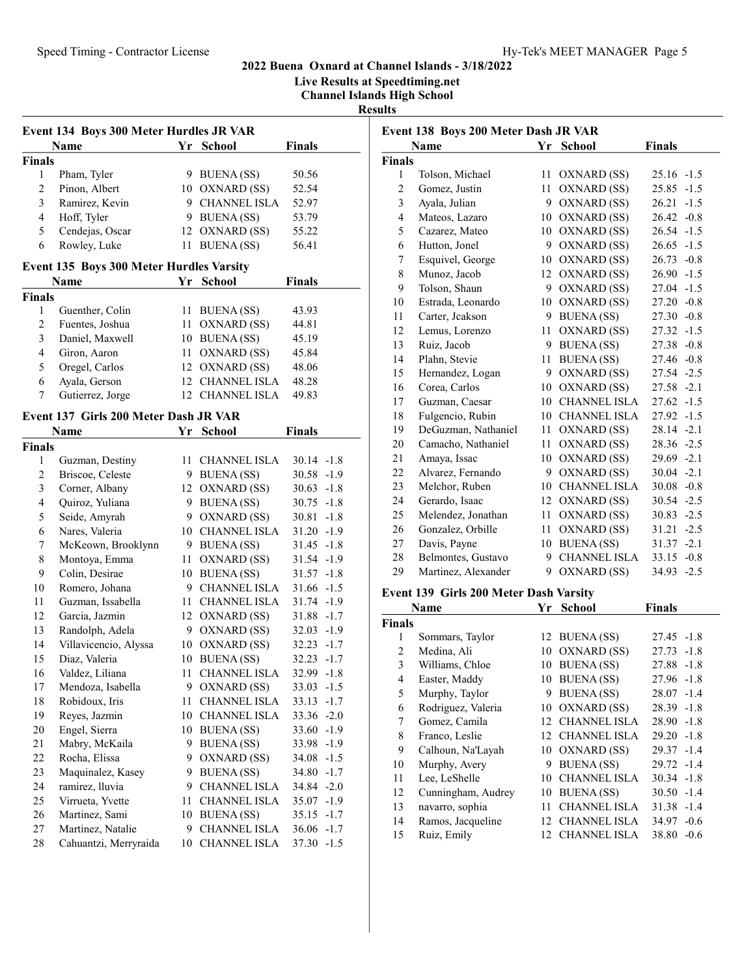Live Results at Speedtiming.net

Channel Islands High School Results

| Event 134 Boys 300 Meter Hurdles JR VAR |                 |    |                     |               |  |
|-----------------------------------------|-----------------|----|---------------------|---------------|--|
|                                         | Name            | Yr | School              | <b>Finals</b> |  |
| <b>Finals</b>                           |                 |    |                     |               |  |
|                                         | Pham, Tyler     |    | 9 BUENA (SS)        | 50.56         |  |
| $\mathfrak{D}_{\mathfrak{p}}$           | Pinon, Albert   |    | 10 OXNARD (SS)      | 52.54         |  |
| 3                                       | Ramirez, Kevin  |    | <b>CHANNEL ISLA</b> | 52.97         |  |
| 4                                       | Hoff, Tyler     |    | 9 BUENA (SS)        | 53.79         |  |
| 5                                       | Cendejas, Oscar |    | 12 OXNARD (SS)      | 55.22         |  |
| 6                                       | Rowley, Luke    |    | <b>BUENA</b> (SS)   | 56.41         |  |

## Event 135 Boys 300 Meter Hurdles Varsity

|               | <b>Name</b>      | Yr School       | <b>Finals</b> |
|---------------|------------------|-----------------|---------------|
| <b>Finals</b> |                  |                 |               |
|               | Guenther, Colin  | 11 BUENA (SS)   | 43.93         |
| 2             | Fuentes, Joshua  | 11 OXNARD (SS)  | 44.81         |
| 3             | Daniel, Maxwell  | 10 BUENA (SS)   | 45.19         |
| 4             | Giron, Aaron     | 11 OXNARD (SS)  | 45.84         |
| 5             | Oregel, Carlos   | 12 OXNARD (SS)  | 48.06         |
| 6             | Ayala, Gerson    | 12 CHANNEL ISLA | 48.28         |
|               | Gutierrez, Jorge | 12 CHANNEL ISLA | 49.83         |

# Event 137 Girls 200 Meter Dash JR VAR

| 30.14<br>$-1.8$<br>30.58<br>$-1.9$<br>30.63<br>$-1.8$<br>$30.75 - 1.8$<br>30.81<br>$-1.8$ |
|-------------------------------------------------------------------------------------------|
|                                                                                           |
|                                                                                           |
|                                                                                           |
|                                                                                           |
|                                                                                           |
|                                                                                           |
| 31.20<br>$-1.9$                                                                           |
| 31.45<br>$-1.8$                                                                           |
| $31.54 - 1.9$                                                                             |
| 31.57<br>$-1.8$                                                                           |
| $31.66 - 1.5$                                                                             |
| $31.74 - 1.9$                                                                             |
| $31.88 - 1.7$                                                                             |
| $32.03 - 1.9$                                                                             |
| 32.23<br>$-1.7$                                                                           |
| $32.23 - 1.7$                                                                             |
| $32.99 - 1.8$                                                                             |
| $33.03 -1.5$                                                                              |
| 33.13<br>$-1.7$                                                                           |
| $33.36 - 2.0$                                                                             |
| $33.60 -1.9$                                                                              |
| $33.98 - 1.9$                                                                             |
| $-1.5$<br>34.08                                                                           |
| $34.80 - 1.7$                                                                             |
| $34.84 - 2.0$                                                                             |
| $35.07 - 1.9$                                                                             |
| 35.15<br>$-1.7$                                                                           |
| 36.06<br>$-1.7$                                                                           |
| 37.30<br>$-1.5$                                                                           |
|                                                                                           |

| Event 138 Boys 200 Meter Dash JR VAR |                     |    |                     |                 |
|--------------------------------------|---------------------|----|---------------------|-----------------|
|                                      | Name                |    | Yr School           | <b>Finals</b>   |
| <b>Finals</b>                        |                     |    |                     |                 |
| 1                                    | Tolson, Michael     | 11 | OXNARD (SS)         | $25.16 - 1.5$   |
| 2                                    | Gomez, Justin       | 11 | OXNARD (SS)         | 25.85<br>$-1.5$ |
| 3                                    | Ayala, Julian       | 9  | OXNARD (SS)         | 26.21<br>$-1.5$ |
| $\overline{4}$                       | Mateos, Lazaro      | 10 | OXNARD (SS)         | $26.42 -0.8$    |
| 5                                    | Cazarez, Mateo      | 10 | OXNARD (SS)         | $26.54 - 1.5$   |
| 6                                    | Hutton, Jonel       | 9  | OXNARD (SS)         | $26.65 - 1.5$   |
| 7                                    | Esquivel, George    | 10 | OXNARD (SS)         | $26.73 - 0.8$   |
| 8                                    | Munoz, Jacob        | 12 | OXNARD (SS)         | $26.90 -1.5$    |
| 9                                    | Tolson, Shaun       | 9  | OXNARD (SS)         | 27.04<br>$-1.5$ |
| 10                                   | Estrada, Leonardo   | 10 | OXNARD (SS)         | $27.20 -0.8$    |
| 11                                   | Carter, Jeakson     | 9  | <b>BUENA</b> (SS)   | $27.30 -0.8$    |
| 12                                   | Lemus, Lorenzo      | 11 | OXNARD (SS)         | $27.32 -1.5$    |
| 13                                   | Ruiz, Jacob         | 9  | <b>BUENA(SS)</b>    | 27.38 -0.8      |
| 14                                   | Plahn, Stevie       | 11 | <b>BUENA</b> (SS)   | $27.46 - 0.8$   |
| 15                                   | Hernandez, Logan    | 9  | OXNARD (SS)         | 27.54 -2.5      |
| 16                                   | Corea, Carlos       | 10 | OXNARD (SS)         | 27.58 -2.1      |
| 17                                   | Guzman, Caesar      | 10 | <b>CHANNEL ISLA</b> | $27.62 -1.5$    |
| 18                                   | Fulgencio, Rubin    | 10 | <b>CHANNEL ISLA</b> | $27.92 -1.5$    |
| 19                                   | DeGuzman, Nathaniel | 11 | OXNARD (SS)         | $28.14 -2.1$    |
| 20                                   | Camacho, Nathaniel  | 11 | OXNARD (SS)         | $28.36 -2.5$    |
| 21                                   | Amaya, Issac        | 10 | OXNARD (SS)         | $29.69 -2.1$    |
| 22                                   | Alvarez, Fernando   | 9  | OXNARD (SS)         | 30.04<br>$-2.1$ |
| 23                                   | Melchor, Ruben      | 10 | <b>CHANNEL ISLA</b> | $30.08 - 0.8$   |
| 24                                   | Gerardo, Isaac      | 12 | OXNARD (SS)         | $30.54 -2.5$    |
| 25                                   | Melendez, Jonathan  | 11 | OXNARD (SS)         | $30.83 - 2.5$   |
| 26                                   | Gonzalez, Orbille   | 11 | OXNARD (SS)         | $31.21 -2.5$    |
| 27                                   | Davis, Payne        | 10 | <b>BUENA</b> (SS)   | $31.37 -2.1$    |
| 28                                   | Belmontes, Gustavo  | 9  | <b>CHANNEL ISLA</b> | $33.15 -0.8$    |
| 29                                   | Martinez, Alexander | 9  | OXNARD (SS)         | 34.93 -2.5      |
|                                      |                     |    |                     |                 |

#### Event 139 Girls 200 Meter Dash Varsity

|                | Name               |                 | Yr School           | <b>Finals</b>   |
|----------------|--------------------|-----------------|---------------------|-----------------|
| Finals         |                    |                 |                     |                 |
| 1              | Sommars, Taylor    |                 | 12 BUENA (SS)       | $27.45 - 1.8$   |
| $\overline{c}$ | Medina, Ali        |                 | 10 OXNARD (SS)      | $27.73 - 1.8$   |
| 3              | Williams, Chloe    | 10              | <b>BUENA</b> (SS)   | $27.88 - 1.8$   |
| 4              | Easter, Maddy      |                 | 10 BUENA (SS)       | $27.96 -1.8$    |
| 5              | Murphy, Taylor     | 9               | BUENA (SS)          | $28.07 -1.4$    |
| 6              | Rodriguez, Valeria |                 | 10 OXNARD (SS)      | $28.39 -1.8$    |
| 7              | Gomez, Camila      |                 | 12 CHANNEL ISLA     | $28.90 -1.8$    |
| 8              | Franco, Leslie     | 12 <sub>1</sub> | <b>CHANNEL ISLA</b> | $29.20 -1.8$    |
| 9              | Calhoun, Na'Layah  |                 | 10 OXNARD (SS)      | $29.37 - 1.4$   |
| 10             | Murphy, Avery      | 9               | BUENA (SS)          | $29.72 -1.4$    |
| 11             | Lee, LeShelle      | 10              | <b>CHANNEL ISLA</b> | $30.34 -1.8$    |
| 12             | Cunningham, Audrey |                 | 10 BUENA (SS)       | $30.50 -1.4$    |
| 13             | navarro, sophia    | 11              | <b>CHANNEL ISLA</b> | $31.38 - 1.4$   |
| 14             | Ramos, Jacqueline  | 12              | <b>CHANNEL ISLA</b> | 34.97<br>$-0.6$ |
| 15             | Ruiz, Emily        | 12.             | <b>CHANNEL ISLA</b> | $38.80 - 0.6$   |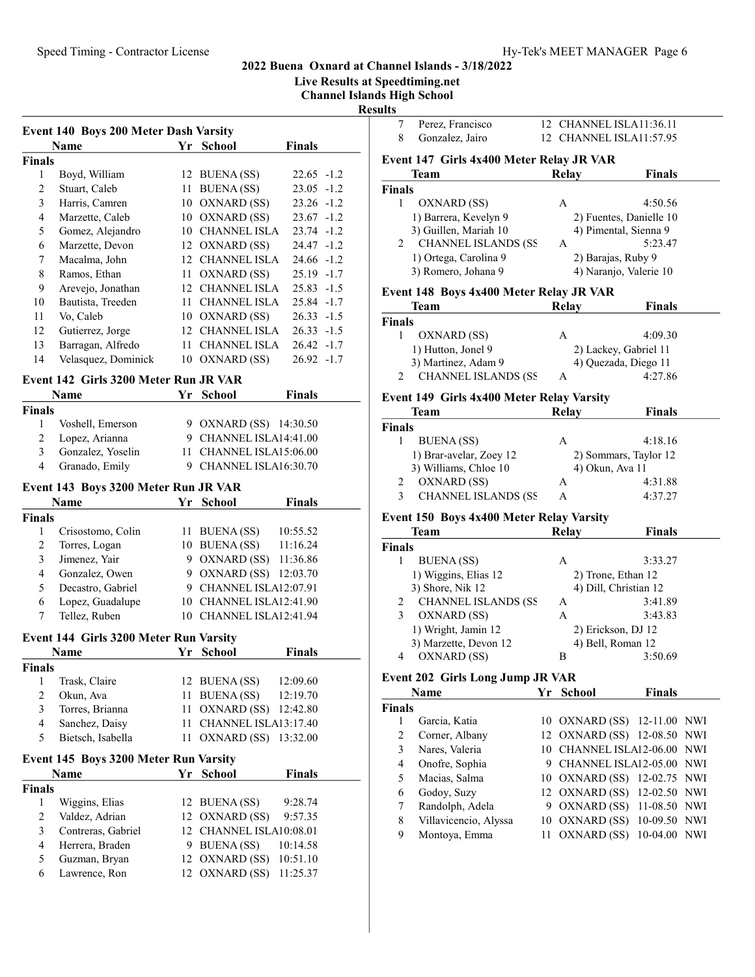Live Results at Speedtiming.net

Channel Islands High School

Results

| Event 140 Boys 200 Meter Dash Varsity |                     |    |                     |               |
|---------------------------------------|---------------------|----|---------------------|---------------|
|                                       | Name                | Yr | <b>School</b>       | Finals        |
| Finals                                |                     |    |                     |               |
| 1                                     | Boyd, William       |    | 12 BUENA (SS)       | $22.65 - 1.2$ |
| $\overline{c}$                        | Stuart, Caleb       | 11 | BUENA (SS)          | $23.05 -1.2$  |
| 3                                     | Harris, Camren      | 10 | OXNARD (SS)         | $23.26 -1.2$  |
| 4                                     | Marzette, Caleb     | 10 | OXNARD (SS)         | $23.67 -1.2$  |
| 5                                     | Gomez, Alejandro    | 10 | CHANNEL ISLA        | $23.74 - 1.2$ |
| 6                                     | Marzette, Devon     |    | 12 OXNARD (SS)      | $24.47 - 1.2$ |
| 7                                     | Macalma, John       | 12 | CHANNEL ISLA        | $24.66 - 1.2$ |
| 8                                     | Ramos, Ethan        | 11 | OXNARD (SS)         | $25.19 -1.7$  |
| 9                                     | Arevejo, Jonathan   |    | 12 CHANNEL ISLA     | $25.83 -1.5$  |
| 10                                    | Bautista, Treeden   | 11 | <b>CHANNEL ISLA</b> | $25.84 - 1.7$ |
| 11                                    | Vo, Caleb           | 10 | OXNARD (SS)         | $26.33 - 1.5$ |
| 12                                    | Gutierrez, Jorge    |    | 12 CHANNEL ISLA     | $26.33 - 1.5$ |
| 13                                    | Barragan, Alfredo   | 11 | <b>CHANNEL ISLA</b> | $26.42 -1.7$  |
| 14                                    | Velasquez, Dominick |    | 10 OXNARD (SS)      | $26.92 -1.7$  |
| Event 142 Girls 3200 Meter Run JR VAR |                     |    |                     |               |
|                                       | Name                | Yr | School              | <b>Finals</b> |

| Finals       |                     |                         |
|--------------|---------------------|-------------------------|
| $\mathbf{1}$ | Voshell, Emerson    | 9 OXNARD (SS) 14:30.50  |
|              | 2 Lopez, Arianna    | 9 CHANNEL ISLA14:41.00  |
|              | 3 Gonzalez, Yoselin | 11 CHANNEL ISLA15:06.00 |
|              | 4 Granado, Emily    | 9 CHANNEL ISLA16:30.70  |

#### Event 143 Boys 3200 Meter Run JR VAR

|        | Name              |   | Yr School               | <b>Finals</b> |
|--------|-------------------|---|-------------------------|---------------|
| Finals |                   |   |                         |               |
|        | Crisostomo, Colin |   | 11 BUENA (SS)           | 10:55.52      |
|        | Torres, Logan     |   | 10 BUENA (SS)           | 11:16.24      |
| 3      | Jimenez, Yair     |   | 9 OXNARD (SS)           | 11:36.86      |
| 4      | Gonzalez, Owen    |   | 9 OXNARD (SS) 12:03.70  |               |
| 5      | Decastro, Gabriel | 9 | CHANNEL ISLA12:07.91    |               |
| 6      | Lopez, Guadalupe  |   | 10 CHANNEL ISLA12:41.90 |               |
|        | Tellez, Ruben     |   | CHANNEL ISLA12:41.94    |               |

#### Event 144 Girls 3200 Meter Run Varsity

| Name              |  | <b>Finals</b>                               |                                                                                           |
|-------------------|--|---------------------------------------------|-------------------------------------------------------------------------------------------|
|                   |  |                                             |                                                                                           |
| Trask, Claire     |  | 12:09.60                                    |                                                                                           |
| Okun, Ava         |  |                                             |                                                                                           |
| Torres, Brianna   |  |                                             |                                                                                           |
| Sanchez, Daisy    |  |                                             |                                                                                           |
| Bietsch, Isabella |  |                                             |                                                                                           |
|                   |  | Yr School<br>12 BUENA (SS)<br>11 BUENA (SS) | 12:19.70<br>11 OXNARD (SS) 12:42.80<br>11 CHANNEL ISLA13:17.40<br>11 OXNARD (SS) 13:32.00 |

#### Event 145 Boys 3200 Meter Run Varsity

|                    |                              | <b>Finals</b>                                                                  |                                                    |
|--------------------|------------------------------|--------------------------------------------------------------------------------|----------------------------------------------------|
|                    |                              |                                                                                |                                                    |
| Wiggins, Elias     |                              | 9:28.74                                                                        |                                                    |
| Valdez, Adrian     |                              | 9:57.35                                                                        |                                                    |
| Contreras, Gabriel |                              |                                                                                |                                                    |
| Herrera, Braden    |                              | 10:14.58                                                                       |                                                    |
| Guzman, Bryan      |                              |                                                                                |                                                    |
| Lawrence, Ron      |                              | 11:25.37                                                                       |                                                    |
|                    | <b>Name</b><br><b>Finals</b> | Yr School<br>12 BUENA (SS)<br>12 OXNARD (SS)<br>9 BUENA (SS)<br>12 OXNARD (SS) | 12 CHANNEL ISLA10:08.01<br>12 OXNARD (SS) 10:51.10 |

| 11 L.S |                                          |                         |
|--------|------------------------------------------|-------------------------|
|        | Perez, Francisco                         | 12 CHANNEL ISLA11:36.11 |
|        | 8 Gonzalez, Jairo                        | 12 CHANNEL ISLA11:57.95 |
|        | Event 147 Girls 4x400 Meter Relay JR VAR |                         |

#### Team Relay Finals Finals 1 OXNARD (SS) A 4:50.56<br>1) Barrera, Kevelyn 9 2) Fuentes, Danielle 10 2) Fuentes, Danielle 10<br>4) Pimental, Sienna 9 3) Guillen, Mariah 10 2 CHANNEL ISLANDS (SS A 5:23.47 1) Ortega, Carolina 9 2) Barajas, Ruby 9<br>3) Romero, Johana 9 4) Naranjo, Valerie 4) Naranjo, Valerie 10

#### Event 148 Boys 4x400 Meter Relay JR VAR

| Team                        | Relay | Finals                |
|-----------------------------|-------|-----------------------|
| <b>Finals</b>               |       |                       |
| OXNARD (SS)                 | А     | 4:09.30               |
| 1) Hutton, Jonel 9          |       | 2) Lackey, Gabriel 11 |
| 3) Martinez, Adam 9         |       | 4) Quezada, Diego 11  |
| <b>CHANNEL ISLANDS (SS)</b> |       | 4:27.86               |

#### Event 149 Girls 4x400 Meter Relay Varsity

|               | Team                        | Relay           | <b>Finals</b>         |  |
|---------------|-----------------------------|-----------------|-----------------------|--|
| <b>Finals</b> |                             |                 |                       |  |
|               | BUENA (SS)                  | А               | 4:18.16               |  |
|               | 1) Brar-avelar, Zoey 12     |                 | 2) Sommars, Taylor 12 |  |
|               | 3) Williams, Chloe 10       | 4) Okun, Ava 11 |                       |  |
|               | OXNARD (SS)                 | А               | 4:31.88               |  |
| 3             | <b>CHANNEL ISLANDS (SS)</b> |                 | 4:37.27               |  |

## Event 150 Boys 4x400 Meter Relay Varsity

| <b>Team</b>                     | Relay | <b>Finals</b>         |
|---------------------------------|-------|-----------------------|
| <b>Finals</b>                   |       |                       |
| <b>BUENA</b> (SS)               | Α     | 3:33.27               |
| 1) Wiggins, Elias 12            |       | 2) Trone, Ethan 12    |
| 3) Shore, Nik 12                |       | 4) Dill, Christian 12 |
| <b>CHANNEL ISLANDS (SS</b><br>2 | A     | 3:41.89               |
| OXNARD (SS)<br>3                | Α     | 3:43.83               |
| 1) Wright, Jamin 12             |       | 2) Erickson, DJ 12    |
| 3) Marzette, Devon 12           |       | 4) Bell, Roman 12     |
| OXNARD (SS)<br>4                | В     | 3:50.69               |

#### Event 202 Girls Long Jump JR VAR

|                       |      | <b>Finals</b> |                                                                                                                                                                                                                                                                                 |
|-----------------------|------|---------------|---------------------------------------------------------------------------------------------------------------------------------------------------------------------------------------------------------------------------------------------------------------------------------|
|                       |      |               |                                                                                                                                                                                                                                                                                 |
| Garcia, Katia         |      |               |                                                                                                                                                                                                                                                                                 |
| Corner, Albany        |      |               |                                                                                                                                                                                                                                                                                 |
| Nares, Valeria        |      |               |                                                                                                                                                                                                                                                                                 |
| Onofre, Sophia        |      |               |                                                                                                                                                                                                                                                                                 |
| Macias, Salma         |      |               |                                                                                                                                                                                                                                                                                 |
| Godoy, Suzy           |      |               |                                                                                                                                                                                                                                                                                 |
| Randolph, Adela       |      |               |                                                                                                                                                                                                                                                                                 |
| Villavicencio, Alyssa |      |               |                                                                                                                                                                                                                                                                                 |
| Montoya, Emma         |      |               |                                                                                                                                                                                                                                                                                 |
|                       | Name | Yr School     | 10 OXNARD (SS) 12-11.00 NWI<br>12 OXNARD (SS) 12-08.50 NWI<br>10 CHANNEL ISLA12-06.00 NWI<br>CHANNEL ISLA12-05.00 NWI<br>10 OXNARD (SS) 12-02.75 NWI<br>12 OXNARD (SS) 12-02.50 NWI<br>9 OXNARD (SS) 11-08.50 NWI<br>10 OXNARD (SS) 10-09.50 NWI<br>11 OXNARD (SS) 10-04.00 NWI |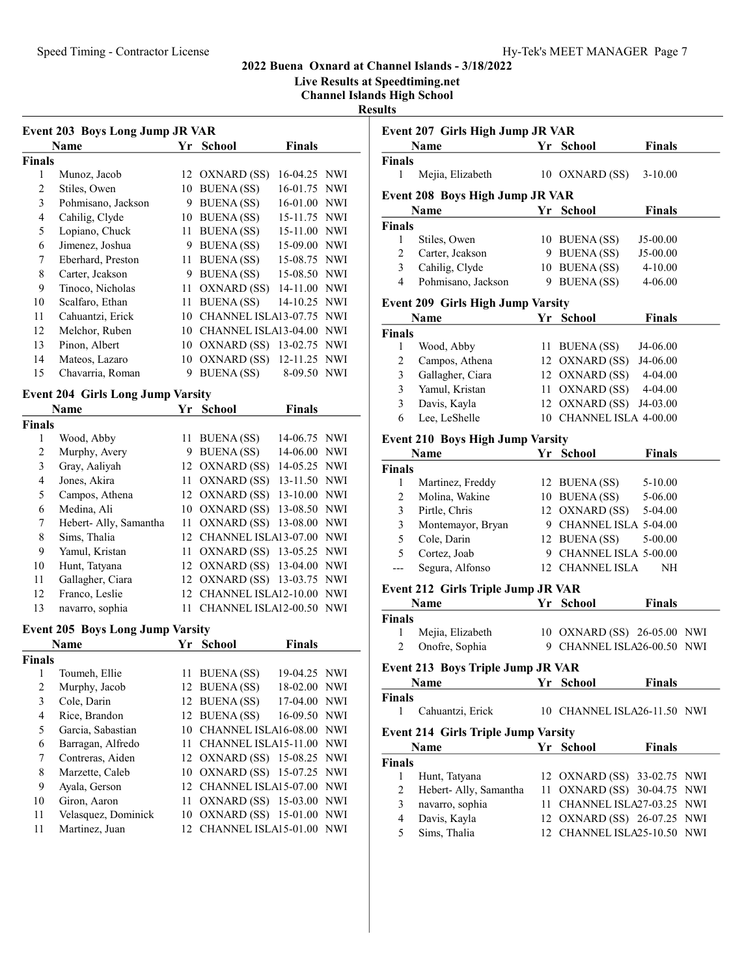Live Results at Speedtiming.net

Channel Islands High School

#### Results

| Event 203 Boys Long Jump JR VAR |                    |     |                      |               |            |
|---------------------------------|--------------------|-----|----------------------|---------------|------------|
|                                 | <b>Name</b>        | Yr. | <b>School</b>        | <b>Finals</b> |            |
| Finals                          |                    |     |                      |               |            |
| 1                               | Munoz, Jacob       | 12  | OXNARD (SS)          | $16-04.25$    | NWI        |
| $\overline{c}$                  | Stiles, Owen       | 10  | <b>BUENA</b> (SS)    | 16-01.75      | <b>NWI</b> |
| 3                               | Pohmisano, Jackson | 9   | <b>BUENA</b> (SS)    | 16-01.00      | <b>NWI</b> |
| 4                               | Cahilig, Clyde     | 10  | <b>BUENA</b> (SS)    | 15-11.75      | <b>NWI</b> |
| 5                               | Lopiano, Chuck     | 11  | <b>BUENA</b> (SS)    | 15-11.00      | <b>NWI</b> |
| 6                               | Jimenez, Joshua    | 9   | <b>BUENA</b> (SS)    | 15-09.00      | <b>NWI</b> |
| 7                               | Eberhard, Preston  | 11  | <b>BUENA</b> (SS)    | 15-08.75      | <b>NWI</b> |
| 8                               | Carter, Jeakson    | 9   | <b>BUENA</b> (SS)    | 15-08.50      | <b>NWI</b> |
| 9                               | Tinoco, Nicholas   | 11  | OXNARD (SS)          | $14 - 11.00$  | <b>NWI</b> |
| 10                              | Scalfaro, Ethan    | 11  | <b>BUENA</b> (SS)    | 14-10.25      | <b>NWI</b> |
| 11                              | Cahuantzi, Erick   | 10  | CHANNEL ISLA13-07.75 |               | <b>NWI</b> |
| 12                              | Melchor, Ruben     | 10  | CHANNEL ISLA13-04.00 |               | <b>NWI</b> |
| 13                              | Pinon, Albert      | 10  | OXNARD (SS)          | 13-02.75      | <b>NWI</b> |
| 14                              | Mateos, Lazaro     | 10  | OXNARD (SS)          | 12-11.25 NWI  |            |
| 15                              | Chavarria, Roman   | 9   | <b>BUENA</b> (SS)    | 8-09.50       | NWI        |

## Event 204 Girls Long Jump Varsity

|        | Name                  |     | Yr School                   | <b>Finals</b> |  |
|--------|-----------------------|-----|-----------------------------|---------------|--|
| Finals |                       |     |                             |               |  |
| 1      | Wood, Abby            | 11  | <b>BUENA</b> (SS)           | 14-06.75 NWI  |  |
| 2      | Murphy, Avery         | 9   | <b>BUENA</b> (SS)           | 14-06.00 NWI  |  |
| 3      | Gray, Aaliyah         |     | 12 OXNARD (SS)              | 14-05.25 NWI  |  |
| 4      | Jones, Akira          |     | 11 OXNARD (SS)              | 13-11.50 NWI  |  |
| 5      | Campos, Athena        |     | 12 OXNARD (SS)              | 13-10.00 NWI  |  |
| 6      | Medina, Ali           |     | 10 OXNARD (SS)              | 13-08.50 NWI  |  |
| 7      | Hebert-Ally, Samantha |     | 11 OXNARD (SS) 13-08.00 NWI |               |  |
| 8      | Sims, Thalia          | 12. | CHANNEL ISLA13-07.00 NWI    |               |  |
| 9      | Yamul, Kristan        |     | 11 OXNARD (SS) 13-05.25 NWI |               |  |
| 10     | Hunt, Tatyana         |     | 12 OXNARD (SS) 13-04.00 NWI |               |  |
| 11     | Gallagher, Ciara      |     | 12 OXNARD (SS) 13-03.75 NWI |               |  |
| 12     | Franco, Leslie        | 12. | CHANNEL ISLA12-10.00 NWI    |               |  |
| 13     | navarro, sophia       |     | CHANNEL ISLA12-00.50 NWI    |               |  |

## Event 205 Boys Long Jump Varsity

| <b>Name</b>         |     | <b>Finals</b>                                                                 |                                                                                                                                                                                                                                                                                                          |
|---------------------|-----|-------------------------------------------------------------------------------|----------------------------------------------------------------------------------------------------------------------------------------------------------------------------------------------------------------------------------------------------------------------------------------------------------|
|                     |     |                                                                               |                                                                                                                                                                                                                                                                                                          |
| Toumeh, Ellie       |     |                                                                               |                                                                                                                                                                                                                                                                                                          |
| Murphy, Jacob       |     |                                                                               |                                                                                                                                                                                                                                                                                                          |
| Cole, Darin         |     |                                                                               |                                                                                                                                                                                                                                                                                                          |
| Rice, Brandon       |     |                                                                               |                                                                                                                                                                                                                                                                                                          |
| Garcia, Sabastian   | 10  |                                                                               |                                                                                                                                                                                                                                                                                                          |
| Barragan, Alfredo   | 11  |                                                                               |                                                                                                                                                                                                                                                                                                          |
| Contreras, Aiden    |     |                                                                               |                                                                                                                                                                                                                                                                                                          |
| Marzette, Caleb     |     |                                                                               |                                                                                                                                                                                                                                                                                                          |
| Ayala, Gerson       |     |                                                                               |                                                                                                                                                                                                                                                                                                          |
| Giron, Aaron        | 11  |                                                                               |                                                                                                                                                                                                                                                                                                          |
| Velasquez, Dominick |     |                                                                               |                                                                                                                                                                                                                                                                                                          |
| Martinez, Juan      | 12. |                                                                               |                                                                                                                                                                                                                                                                                                          |
|                     |     | Yr School<br>11 BUENA (SS)<br>12 BUENA (SS)<br>12 BUENA (SS)<br>12 BUENA (SS) | 19-04.25 NWI<br>18-02.00 NWI<br>17-04.00 NWI<br>16-09.50 NWI<br>CHANNEL ISLA16-08.00 NWI<br>CHANNEL ISLA15-11.00 NWI<br>12 OXNARD (SS) 15-08.25 NWI<br>10 OXNARD (SS) 15-07.25 NWI<br>12 CHANNEL ISLA15-07.00 NWI<br>OXNARD (SS) 15-03.00 NWI<br>10 OXNARD (SS) 15-01.00 NWI<br>CHANNEL ISLA15-01.00 NWI |

| นเเร                                         |                                                 |    |                             |               |            |
|----------------------------------------------|-------------------------------------------------|----|-----------------------------|---------------|------------|
|                                              | Event 207 Girls High Jump JR VAR                |    |                             |               |            |
|                                              | Name                                            | Yr | <b>School</b>               | <b>Finals</b> |            |
| <b>Finals</b>                                |                                                 |    |                             |               |            |
| 1                                            | Mejia, Elizabeth                                |    | 10 OXNARD (SS)              | $3-10.00$     |            |
|                                              | <b>Event 208 Boys High Jump JR VAR</b>          |    |                             |               |            |
|                                              | Name                                            |    | Yr School                   | <b>Finals</b> |            |
| <b>Finals</b>                                |                                                 |    |                             |               |            |
| 1                                            | Stiles, Owen                                    |    | 10 BUENA (SS)               | J5-00.00      |            |
| 2                                            | Carter, Jeakson                                 |    | 9 BUENA (SS)                | J5-00.00      |            |
| 3                                            | Cahilig, Clyde                                  |    | 10 BUENA (SS)               | 4-10.00       |            |
| $\overline{4}$                               | Pohmisano, Jackson                              |    | 9 BUENA (SS)                | 4-06.00       |            |
|                                              | <b>Event 209 Girls High Jump Varsity</b>        |    |                             |               |            |
| <b>School</b><br><b>Finals</b><br>Name<br>Yr |                                                 |    |                             |               |            |
| <b>Finals</b>                                |                                                 |    |                             |               |            |
| 1                                            | Wood, Abby                                      |    | 11 BUENA (SS)               | J4-06.00      |            |
| 2                                            | Campos, Athena                                  |    | 12 OXNARD (SS) J4-06.00     |               |            |
| 3                                            | Gallagher, Ciara                                |    | 12 OXNARD (SS) 4-04.00      |               |            |
| 3                                            | Yamul, Kristan                                  |    | 11 OXNARD (SS) 4-04.00      |               |            |
| 3                                            | Davis, Kayla                                    |    | 12 OXNARD (SS)              | J4-03.00      |            |
| 6                                            | Lee, LeShelle                                   |    | 10 CHANNEL ISLA 4-00.00     |               |            |
|                                              |                                                 |    |                             |               |            |
|                                              | Event 210 Boys High Jump Varsity<br><b>Name</b> |    | <b>School</b>               |               |            |
|                                              |                                                 | Yr |                             | <b>Finals</b> |            |
| <b>Finals</b><br>1                           | Martinez, Freddy                                |    | 12 BUENA (SS) 5-10.00       |               |            |
| 2                                            | Molina, Wakine                                  |    | 10 BUENA (SS) 5-06.00       |               |            |
| 3                                            | Pirtle, Chris                                   |    | 12 OXNARD (SS) 5-04.00      |               |            |
| 3                                            | Montemayor, Bryan                               |    | 9 CHANNEL ISLA 5-04.00      |               |            |
| 5                                            | Cole, Darin                                     |    | 12 BUENA (SS)               | 5-00.00       |            |
| 5                                            | Cortez, Joab                                    |    | 9 CHANNEL ISLA 5-00.00      |               |            |
| $---$                                        | Segura, Alfonso                                 |    | 12 CHANNEL ISLA             | NH            |            |
|                                              |                                                 |    |                             |               |            |
|                                              | <b>Event 212 Girls Triple Jump JR VAR</b>       |    |                             |               |            |
|                                              | <b>Name</b>                                     | Yr | <b>School</b>               | <b>Finals</b> |            |
| <b>Finals</b><br>1                           | Mejia, Elizabeth                                |    | 10 OXNARD (SS) 26-05.00 NWI |               |            |
| 2                                            | Onofre, Sophia                                  |    | 9 CHANNEL ISLA26-00.50 NWI  |               |            |
|                                              |                                                 |    |                             |               |            |
|                                              | <b>Event 213 Boys Triple Jump JR VAR</b>        |    |                             |               |            |
|                                              | Name                                            | Yr | <b>School</b>               | <b>Finals</b> |            |
| <b>Finals</b>                                |                                                 |    |                             |               |            |
| 1                                            | Cahuantzi, Erick                                |    | 10 CHANNEL ISLA26-11.50 NWI |               |            |
|                                              | <b>Event 214 Girls Triple Jump Varsity</b>      |    |                             |               |            |
|                                              | Name                                            | Yr | <b>School</b>               | <b>Finals</b> |            |
| <b>Finals</b>                                |                                                 |    |                             |               |            |
| 1                                            | Hunt, Tatyana                                   |    | 12 OXNARD (SS) 33-02.75 NWI |               |            |
| 2                                            | Hebert- Ally, Samantha                          | 11 | OXNARD (SS) 30-04.75        |               | <b>NWI</b> |
| 3                                            | navarro, sophia                                 | 11 | CHANNEL ISLA27-03.25        |               | NWI        |
| 4                                            | Davis, Kayla                                    |    | 12 OXNARD (SS) 26-07.25 NWI |               |            |
| 5                                            | Sims, Thalia                                    |    | 12 CHANNEL ISLA25-10.50 NWI |               |            |
|                                              |                                                 |    |                             |               |            |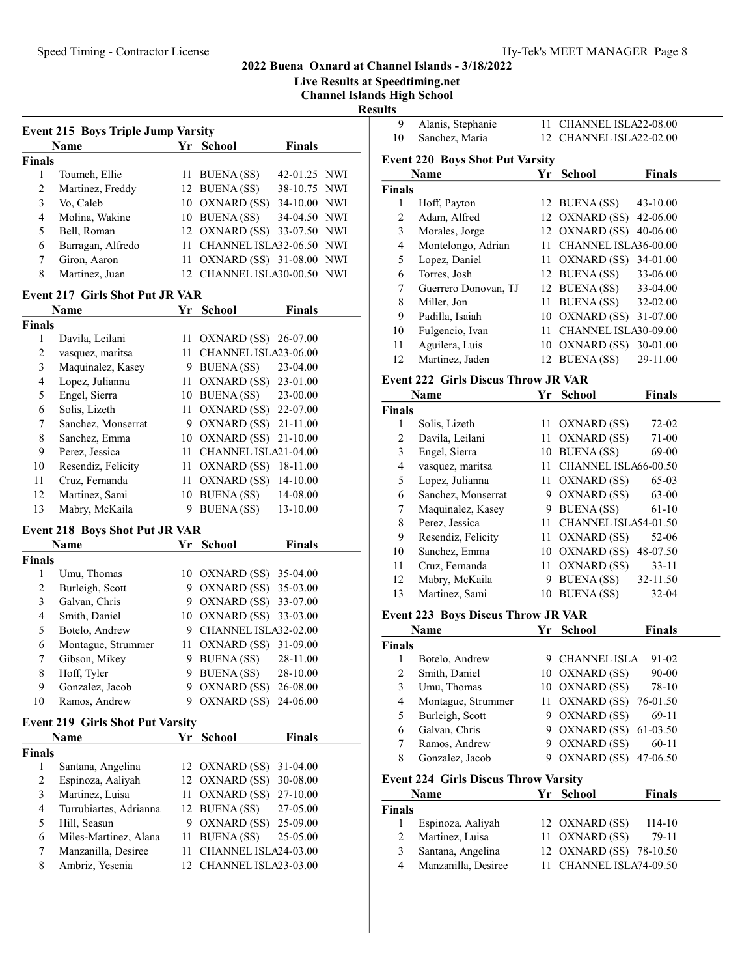Live Results at Speedtiming.net

Channel Islands High School

Results

|                | <b>Name</b>       | Yr '            | School                      | <b>Finals</b> |  |
|----------------|-------------------|-----------------|-----------------------------|---------------|--|
| <b>Finals</b>  |                   |                 |                             |               |  |
|                | Toumeh, Ellie     |                 | 11 BUENA (SS)               | 42-01.25 NWI  |  |
| $\mathfrak{D}$ | Martinez, Freddy  |                 | 12 BUENA (SS)               | 38-10.75 NWI  |  |
| 3              | Vo, Caleb         |                 | 10 OXNARD (SS)              | 34-10.00 NWI  |  |
| 4              | Molina, Wakine    |                 | 10 BUENA (SS)               | 34-04.50 NWI  |  |
| 5              | Bell, Roman       |                 | 12 OXNARD (SS)              | 33-07.50 NWI  |  |
| 6              | Barragan, Alfredo |                 | 11 CHANNEL ISLA32-06.50 NWI |               |  |
| 7              | Giron, Aaron      | 11 -            | OXNARD (SS) 31-08.00 NWI    |               |  |
| 8              | Martinez, Juan    | 12 <sup>1</sup> | CHANNEL ISLA30-00.50 NWI    |               |  |

## Event 217 Girls Shot Put JR VAR

|        | Name               | Yr | <b>School</b>        | Finals       |
|--------|--------------------|----|----------------------|--------------|
| Finals |                    |    |                      |              |
| 1      | Davila, Leilani    | 11 | OXNARD (SS)          | 26-07.00     |
| 2      | vasquez, maritsa   |    | CHANNEL ISLA23-06.00 |              |
| 3      | Maquinalez, Kasey  | 9  | <b>BUENA</b> (SS)    | $23-04.00$   |
| 4      | Lopez, Julianna    | 11 | OXNARD (SS)          | 23-01.00     |
| 5      | Engel, Sierra      | 10 | <b>BUENA</b> (SS)    | 23-00.00     |
| 6      | Solis, Lizeth      | 11 | OXNARD (SS)          | 22-07.00     |
| 7      | Sanchez, Monserrat | 9  | OXNARD (SS)          | 21-11.00     |
| 8      | Sanchez, Emma      | 10 | OXNARD (SS)          | $21 - 10.00$ |
| 9      | Perez, Jessica     | 11 | CHANNEL ISLA21-04.00 |              |
| 10     | Resendiz, Felicity | 11 | OXNARD (SS)          | 18-11.00     |
| 11     | Cruz, Fernanda     | 11 | OXNARD (SS)          | 14-10.00     |
| 12     | Martinez, Sami     | 10 | <b>BUENA</b> (SS)    | 14-08.00     |
| 13     | Mabry, McKaila     | 9  | <b>BUENA</b> (SS)    | 13-10.00     |

## Event 218 Boys Shot Put JR VAR

|               | <b>Name</b>        |   | Yr School               | <b>Finals</b> |
|---------------|--------------------|---|-------------------------|---------------|
| <b>Finals</b> |                    |   |                         |               |
|               | Umu, Thomas        |   | 10 OXNARD (SS)          | 35-04.00      |
| 2             | Burleigh, Scott    | 9 | OXNARD (SS)             | 35-03.00      |
| 3             | Galvan, Chris      | 9 | OXNARD (SS) 33-07.00    |               |
| 4             | Smith, Daniel      |   | 10 OXNARD (SS) 33-03.00 |               |
| 5             | Botelo, Andrew     | 9 | CHANNEL ISLA32-02.00    |               |
| 6             | Montague, Strummer |   | 11 OXNARD (SS)          | 31-09.00      |
| 7             | Gibson, Mikey      | 9 | BUENA (SS)              | 28-11.00      |
| 8             | Hoff, Tyler        | 9 | <b>BUENA</b> (SS)       | 28-10.00      |
| 9             | Gonzalez, Jacob    | 9 | OXNARD (SS)             | 26-08.00      |
| 10            | Ramos, Andrew      | 9 | OXNARD (SS)             | 24-06.00      |

#### Event 219 Girls Shot Put Varsity

| Name                   |  | <b>School</b> | <b>Finals</b>                                                                                                                                                                                |
|------------------------|--|---------------|----------------------------------------------------------------------------------------------------------------------------------------------------------------------------------------------|
| <b>Finals</b>          |  |               |                                                                                                                                                                                              |
| Santana, Angelina      |  |               |                                                                                                                                                                                              |
| Espinoza, Aaliyah      |  |               |                                                                                                                                                                                              |
| Martinez, Luisa        |  |               |                                                                                                                                                                                              |
| Turrubiartes, Adrianna |  |               | 27-05.00                                                                                                                                                                                     |
| Hill, Seasun           |  |               |                                                                                                                                                                                              |
| Miles-Martinez, Alana  |  |               | 25-05.00                                                                                                                                                                                     |
| Manzanilla, Desiree    |  |               |                                                                                                                                                                                              |
| Ambriz, Yesenia        |  |               |                                                                                                                                                                                              |
|                        |  | Yr.           | 12 OXNARD (SS) 31-04.00<br>12 OXNARD (SS) 30-08.00<br>11 OXNARD (SS) 27-10.00<br>12 BUENA (SS)<br>9 OXNARD (SS) 25-09.00<br>11 BUENA (SS)<br>CHANNEL ISLA24-03.00<br>12 CHANNEL ISLA23-03.00 |

| 10. | Alanis, Stephanie<br>Sanchez, Maria                   | 11 CHANNEL ISLA22-08.00<br>12 CHANNEL ISLA22-02.00 |               |
|-----|-------------------------------------------------------|----------------------------------------------------|---------------|
|     | <b>Event 220 Boys Shot Put Varsity</b><br><b>Name</b> | Yr School                                          | <b>Finals</b> |

|               | гуаніс               | 11 | эспоот                  | г шаіз   |
|---------------|----------------------|----|-------------------------|----------|
| <b>Finals</b> |                      |    |                         |          |
| 1             | Hoff, Payton         |    | 12 BUENA (SS)           | 43-10.00 |
| 2             | Adam, Alfred         |    | 12 OXNARD (SS)          | 42-06.00 |
| 3             | Morales, Jorge       |    | 12 OXNARD (SS)          | 40-06.00 |
| 4             | Montelongo, Adrian   |    | 11 CHANNEL ISLA36-00.00 |          |
| 5             | Lopez, Daniel        |    | 11 OXNARD (SS)          | 34-01.00 |
| 6             | Torres, Josh         |    | 12 BUENA (SS)           | 33-06.00 |
| 7             | Guerrero Donovan, TJ |    | 12 BUENA (SS)           | 33-04.00 |
| 8             | Miller, Jon          | 11 | BUENA (SS)              | 32-02.00 |
| 9             | Padilla, Isaiah      |    | 10 OXNARD (SS)          | 31-07.00 |
| 10            | Fulgencio, Ivan      |    | CHANNEL ISLA30-09.00    |          |
| 11            | Aguilera, Luis       | 10 | OXNARD (SS)             | 30-01.00 |
| 12            | Martinez, Jaden      |    | 12 BUENA (SS)           | 29-11.00 |

## Event 222 Girls Discus Throw JR VAR

|                | <b>Name</b>        | Yr | <b>School</b>        | <b>Finals</b> |  |
|----------------|--------------------|----|----------------------|---------------|--|
| <b>Finals</b>  |                    |    |                      |               |  |
| 1              | Solis, Lizeth      |    | 11 OXNARD (SS)       | $72-02$       |  |
| 2              | Davila, Leilani    | 11 | OXNARD (SS)          | 71-00         |  |
| 3              | Engel, Sierra      | 10 | <b>BUENA</b> (SS)    | 69-00         |  |
| $\overline{4}$ | vasquez, maritsa   | 11 | CHANNEL ISLA66-00.50 |               |  |
| 5              | Lopez, Julianna    |    | 11 OXNARD (SS)       | $65-03$       |  |
| 6              | Sanchez, Monserrat | 9  | OXNARD (SS)          | 63-00         |  |
| 7              | Maquinalez, Kasey  | 9  | BUENA (SS)           | $61-10$       |  |
| 8              | Perez, Jessica     | 11 | CHANNEL ISLA54-01.50 |               |  |
| 9              | Resendiz, Felicity |    | 11 OXNARD (SS)       | 52-06         |  |
| 10             | Sanchez, Emma      | 10 | OXNARD (SS)          | 48-07.50      |  |
| 11             | Cruz, Fernanda     |    | 11 OXNARD (SS)       | $33 - 11$     |  |
| 12             | Mabry, McKaila     | 9  | BUENA (SS)           | 32-11.50      |  |
| 13             | Martinez, Sami     | 10 | <b>BUENA</b> (SS)    | $32 - 04$     |  |

## Event 223 Boys Discus Throw JR VAR

| Name   |                                             | Yr. | School                  | <b>Finals</b> |
|--------|---------------------------------------------|-----|-------------------------|---------------|
| Finals |                                             |     |                         |               |
|        | Botelo, Andrew                              | 9   | <b>CHANNEL ISLA</b>     | 91-02         |
| 2      | Smith, Daniel                               |     | 10 OXNARD (SS)          | $90 - 00$     |
| 3      | Umu, Thomas                                 |     | 10 OXNARD (SS)          | 78-10         |
| 4      | Montague, Strummer                          |     | 11 OXNARD (SS) 76-01.50 |               |
| 5      | Burleigh, Scott                             | 9   | OXNARD (SS)             | 69-11         |
| 6      | Galvan, Chris                               | 9.  | OXNARD (SS) 61-03.50    |               |
|        | Ramos, Andrew                               | 9.  | OXNARD (SS)             | $60-11$       |
| 8      | Gonzalez, Jacob                             | 9.  | OXNARD (SS) 47-06.50    |               |
|        | <b>Event 224 Girls Discus Throw Varsity</b> |     |                         |               |

|               | Name                | Yr School               | <b>Finals</b> |  |
|---------------|---------------------|-------------------------|---------------|--|
| <b>Finals</b> |                     |                         |               |  |
|               | Espinoza, Aaliyah   | 12 OXNARD (SS)          | 114-10        |  |
| 2             | Martinez, Luisa     | 11 OXNARD (SS)          | 79-11         |  |
| 3             | Santana, Angelina   | 12 OXNARD (SS) 78-10.50 |               |  |
| 4             | Manzanilla, Desiree | 11 CHANNEL ISLA74-09.50 |               |  |